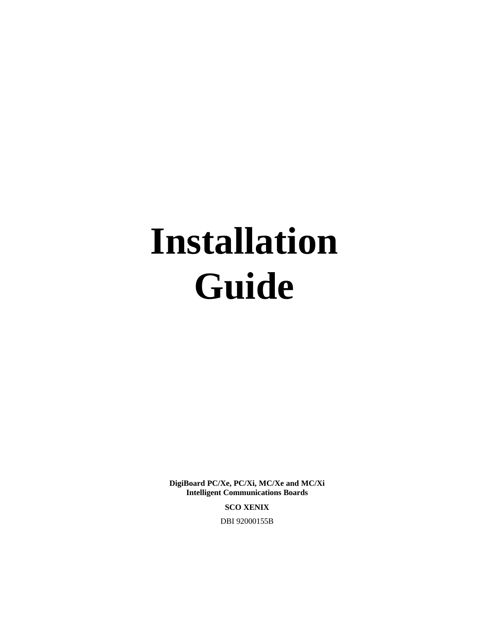# **Installation Guide**

**DigiBoard PC/Xe, PC/Xi, MC/Xe and MC/Xi Intelligent Communications Boards**

**SCO XENIX**

DBI 92000155B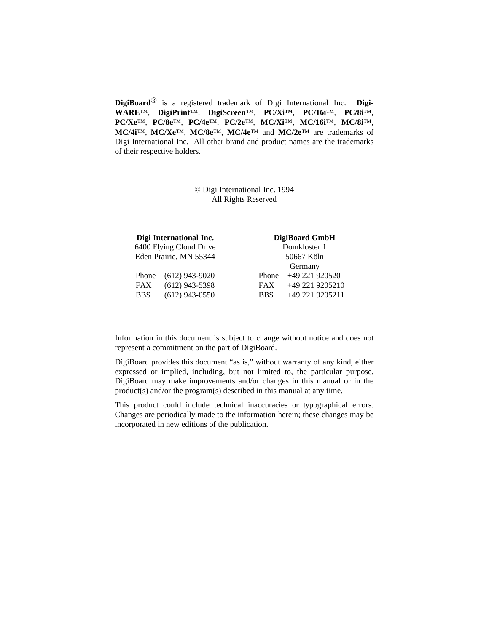**DigiBoard**® is a registered trademark of Digi International Inc. **Digi**-**WARE**™, **DigiPrint**™, **DigiScreen**™, **PC/Xi**™, **PC/16i**™, **PC/8i**™, **PC/Xe**™, **PC/8e**™, **PC/4e**™, **PC/2e**™, **MC/Xi**™, **MC/16i**™, **MC/8i**™, **MC/4i**™, **MC/Xe**™, **MC/8e**™, **MC/4e**™ and **MC/2e**™ are trademarks of Digi International Inc. All other brand and product names are the trademarks of their respective holders.

> © Digi International Inc. 1994 All Rights Reserved

#### **Digi International Inc.**

6400 Flying Cloud Drive Eden

#### **DigiBoard GmbH** Domkloster 1

| 0400 FIVIIIII CIOUU DIIVE |                      |            | DOIIIKIOSIEI 1       |
|---------------------------|----------------------|------------|----------------------|
| Eden Prairie, MN 55344    |                      | 50667 Köln |                      |
|                           |                      |            | Germany              |
|                           | Phone (612) 943-9020 |            | Phone $+49221920520$ |
|                           | FAX (612) 943-5398   | FAX        | +49 221 9205210      |
|                           | BBS (612) 943-0550   | <b>BBS</b> | +49 221 9205211      |
|                           |                      |            |                      |

Information in this document is subject to change without notice and does not represent a commitment on the part of DigiBoard.

DigiBoard provides this document "as is," without warranty of any kind, either expressed or implied, including, but not limited to, the particular purpose. DigiBoard may make improvements and/or changes in this manual or in the product(s) and/or the program(s) described in this manual at any time.

This product could include technical inaccuracies or typographical errors. Changes are periodically made to the information herein; these changes may be incorporated in new editions of the publication.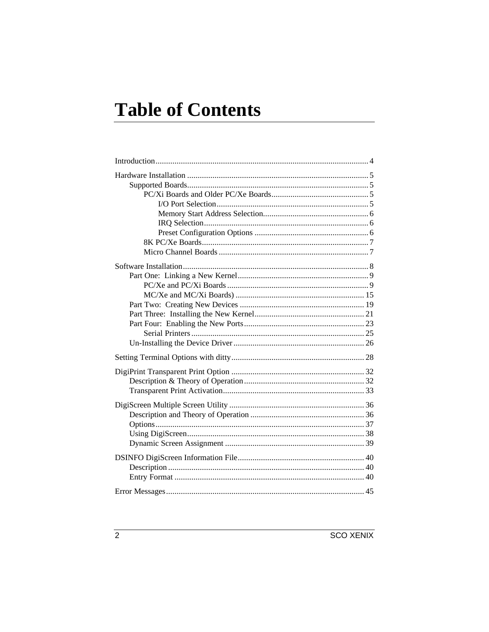# **Table of Contents**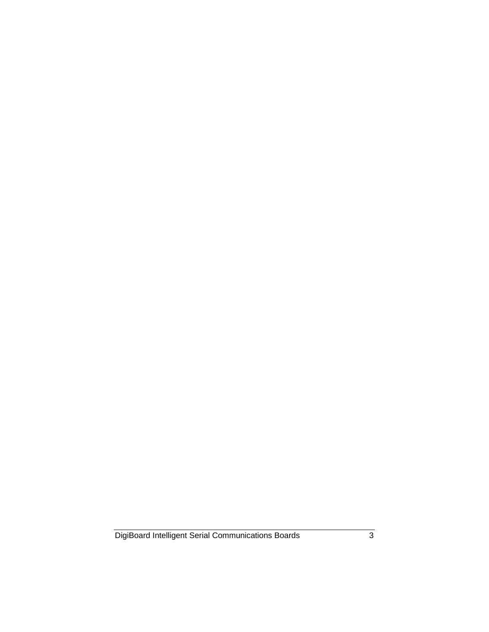DigiBoard Intelligent Serial Communications Boards 3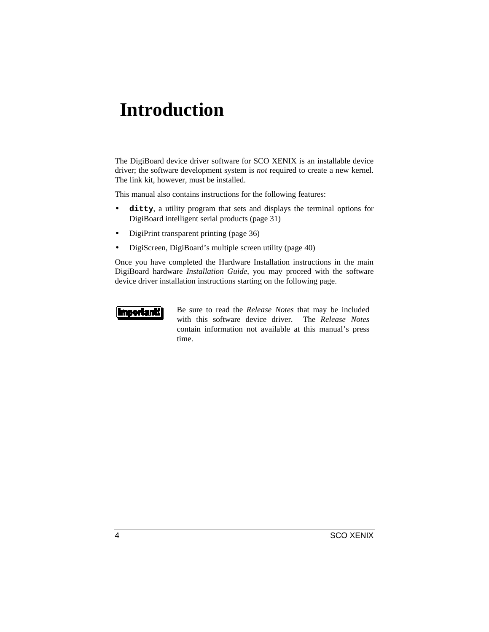# **Introduction**

The DigiBoard device driver software for SCO XENIX is an installable device driver; the software development system is *not* required to create a new kernel. The link kit, however, must be installed.

This manual also contains instructions for the following features:

- **ditty**, a utility program that sets and displays the terminal options for DigiBoard intelligent serial products (page 31)
- DigiPrint transparent printing (page 36)
- DigiScreen, DigiBoard's multiple screen utility (page 40)

Once you have completed the Hardware Installation instructions in the main DigiBoard hardware *Installation Guide*, you may proceed with the software device driver installation instructions starting on the following page.



Be sure to read the *Release Notes* that may be included with this software device driver. The *Release Notes* contain information not available at this manual's press time.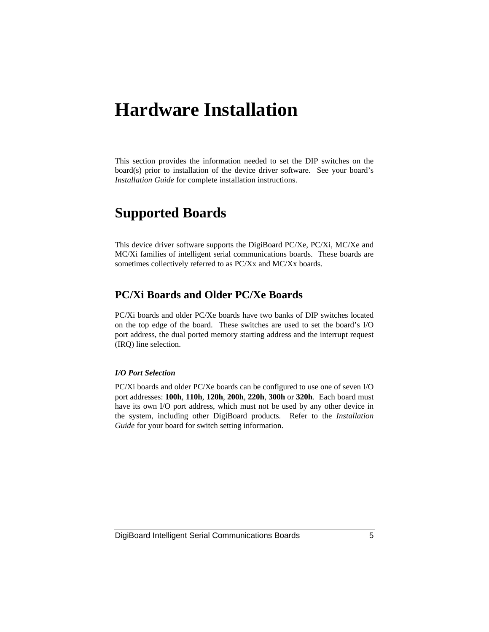# **Hardware Installation**

This section provides the information needed to set the DIP switches on the board(s) prior to installation of the device driver software. See your board's *Installation Guide* for complete installation instructions.

### **Supported Boards**

This device driver software supports the DigiBoard PC/Xe, PC/Xi, MC/Xe and MC/Xi families of intelligent serial communications boards. These boards are sometimes collectively referred to as PC/Xx and MC/Xx boards.

### **PC/Xi Boards and Older PC/Xe Boards**

PC/Xi boards and older PC/Xe boards have two banks of DIP switches located on the top edge of the board. These switches are used to set the board's I/O port address, the dual ported memory starting address and the interrupt request (IRQ) line selection.

### *I/O Port Selection*

PC/Xi boards and older PC/Xe boards can be configured to use one of seven I/O port addresses: **100h**, **110h**, **120h**, **200h**, **220h**, **300h** or **320h**. Each board must have its own I/O port address, which must not be used by any other device in the system, including other DigiBoard products. Refer to the *Installation Guide* for your board for switch setting information.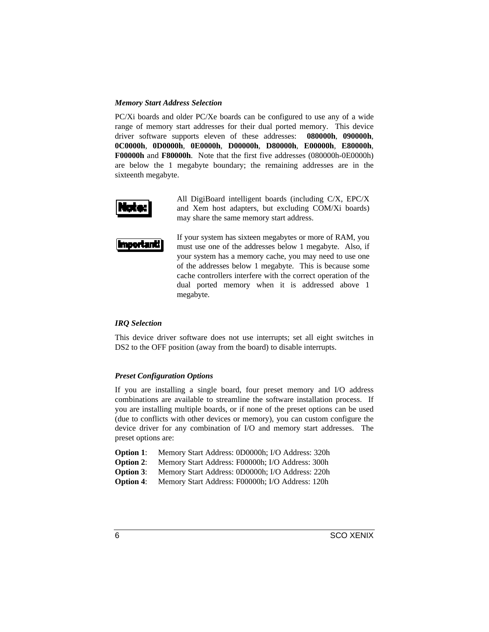#### *Memory Start Address Selection*

PC/Xi boards and older PC/Xe boards can be configured to use any of a wide range of memory start addresses for their dual ported memory. This device driver software supports eleven of these addresses: **080000h**, **090000h**, **0C0000h**, **0D0000h**, **0E0000h**, **D00000h**, **D80000h**, **E00000h**, **E80000h**, **F00000h** and **F80000h**. Note that the first five addresses (080000h-0E0000h) are below the 1 megabyte boundary; the remaining addresses are in the sixteenth megabyte.



All DigiBoard intelligent boards (including C/X, EPC/X and Xem host adapters, but excluding COM/Xi boards) may share the same memory start address.



If your system has sixteen megabytes or more of RAM, you must use one of the addresses below 1 megabyte. Also, if your system has a memory cache, you may need to use one of the addresses below 1 megabyte. This is because some cache controllers interfere with the correct operation of the dual ported memory when it is addressed above 1 megabyte.

#### *IRQ Selection*

This device driver software does not use interrupts; set all eight switches in DS2 to the OFF position (away from the board) to disable interrupts.

#### *Preset Configuration Options*

If you are installing a single board, four preset memory and I/O address combinations are available to streamline the software installation process. If you are installing multiple boards, or if none of the preset options can be used (due to conflicts with other devices or memory), you can custom configure the device driver for any combination of I/O and memory start addresses. The preset options are:

- **Option 1**: Memory Start Address: 0D0000h; I/O Address: 320h
- **Option 2**: Memory Start Address: F00000h; I/O Address: 300h
- **Option 3**: Memory Start Address: 0D0000h; I/O Address: 220h
- **Option 4**: Memory Start Address: F00000h; I/O Address: 120h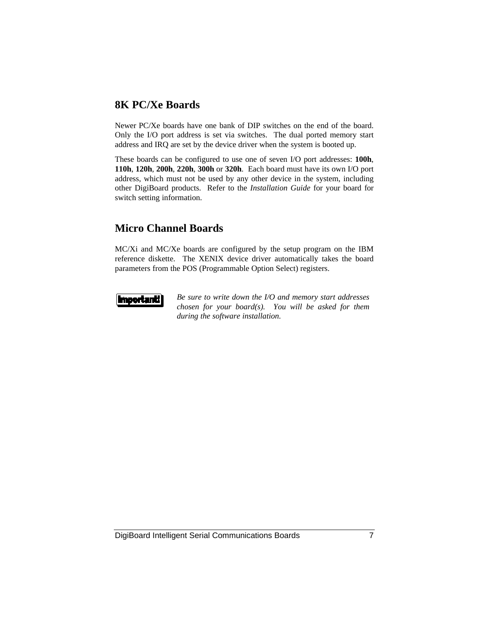### **8K PC/Xe Boards**

Newer PC/Xe boards have one bank of DIP switches on the end of the board. Only the I/O port address is set via switches. The dual ported memory start address and IRQ are set by the device driver when the system is booted up.

These boards can be configured to use one of seven I/O port addresses: **100h**, **110h**, **120h**, **200h**, **220h**, **300h** or **320h**. Each board must have its own I/O port address, which must not be used by any other device in the system, including other DigiBoard products. Refer to the *Installation Guide* for your board for switch setting information.

### **Micro Channel Boards**

MC/Xi and MC/Xe boards are configured by the setup program on the IBM reference diskette. The XENIX device driver automatically takes the board parameters from the POS (Programmable Option Select) registers.



*Be sure to write down the I/O and memory start addresses chosen for your board(s). You will be asked for them during the software installation.*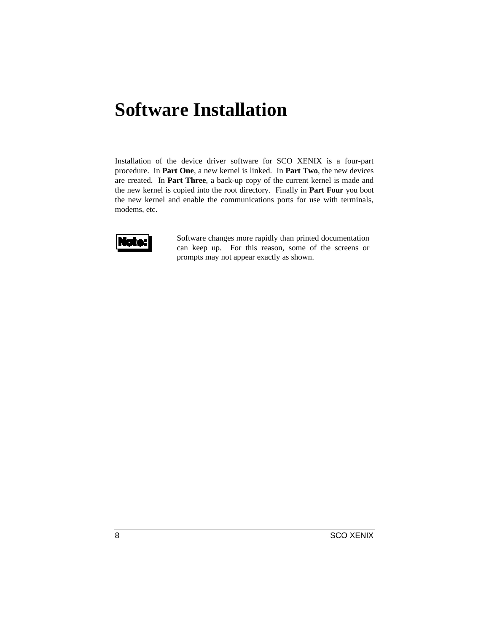# **Software Installation**

Installation of the device driver software for SCO XENIX is a four-part procedure. In **Part One**, a new kernel is linked. In **Part Two**, the new devices are created. In **Part Three**, a back-up copy of the current kernel is made and the new kernel is copied into the root directory. Finally in **Part Four** you boot the new kernel and enable the communications ports for use with terminals, modems, etc.



Software changes more rapidly than printed documentation can keep up. For this reason, some of the screens or prompts may not appear exactly as shown.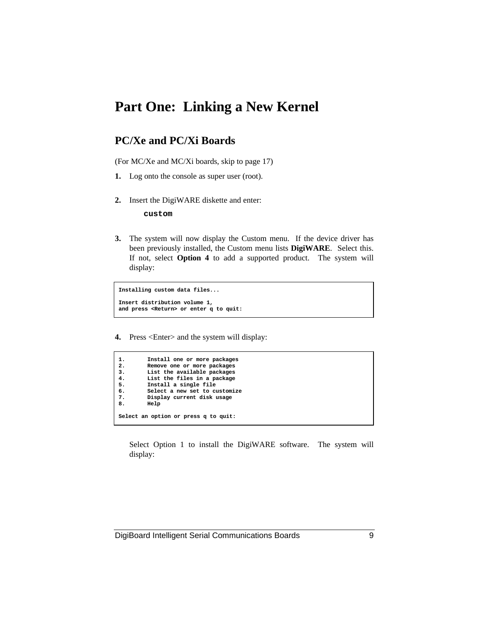## **Part One: Linking a New Kernel**

### **PC/Xe and PC/Xi Boards**

(For MC/Xe and MC/Xi boards, skip to page 17)

- **1.** Log onto the console as super user (root).
- **2.** Insert the DigiWARE diskette and enter:

**custom**

**3.** The system will now display the Custom menu. If the device driver has been previously installed, the Custom menu lists **DigiWARE**. Select this. If not, select **Option 4** to add a supported product. The system will display:

```
Installing custom data files...
Insert distribution volume 1,
and press <Return> or enter q to quit:
```
**4.** Press <Enter> and the system will display:

| 1. | Install one or more packages         |
|----|--------------------------------------|
| 2. | Remove one or more packages          |
| 3. | List the available packages          |
| 4. | List the files in a package          |
| 5. | Install a single file                |
| б. | Select a new set to customize        |
| 7. | Display current disk usage           |
| 8. | Help                                 |
|    |                                      |
|    | Select an option or press q to quit: |

Select Option 1 to install the DigiWARE software. The system will display: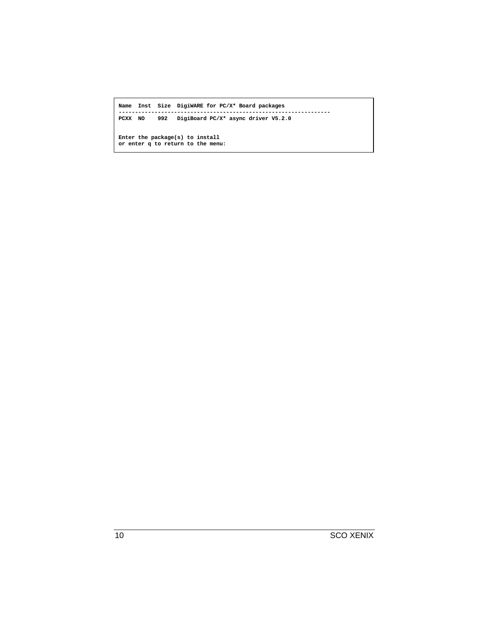```
Name Inst Size DigiWARE for PC/X* Board packages
-----------------------------------------------------------------
PCXX NO 992 DigiBoard PC/X* async driver V5.2.0
 Enter the package(s) to install
or enter q to return to the menu:
```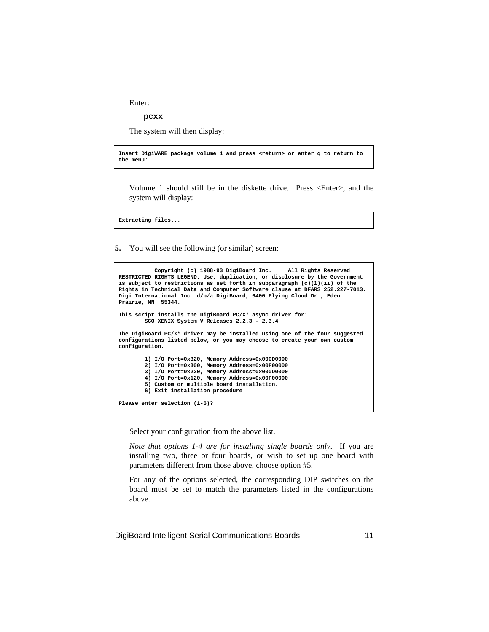Enter:

**pcxx**

The system will then display:

**Insert DigiWARE package volume 1 and press <return> or enter q to return to the menu:**

Volume 1 should still be in the diskette drive. Press <Enter>, and the system will display:

**Extracting files...**

**5.** You will see the following (or similar) screen:

```
 Copyright (c) 1988-93 DigiBoard Inc. All Rights Reserved
RESTRICTED RIGHTS LEGEND: Use, duplication, or disclosure by the Government
is subject to restrictions as set forth in subparagraph (c)(1)(ii) of the
Rights in Technical Data and Computer Software clause at DFARS 252.227-7013.
Digi International Inc. d/b/a DigiBoard, 6400 Flying Cloud Dr., Eden
Prairie, MN 55344.
This script installs the DigiBoard PC/X* async driver for:
         SCO XENIX System V Releases 2.2.3 - 2.3.4
The DigiBoard PC/X* driver may be installed using one of the four suggested
configurations listed below, or you may choose to create your own custom
configuration.
         1) I/O Port=0x320, Memory Address=0x000D0000
        2) I/O Port=0x300, Memory Address=0x00F00000
        3) I/O Port=0x220, Memory Address=0x000D0000
         4) I/O Port=0x120, Memory Address=0x00F00000
        5) Custom or multiple board installation.
         6) Exit installation procedure.
Please enter selection (1-6)?
```
Select your configuration from the above list.

*Note that options 1-4 are for installing single boards only*. If you are installing two, three or four boards, or wish to set up one board with parameters different from those above, choose option #5.

For any of the options selected, the corresponding DIP switches on the board must be set to match the parameters listed in the configurations above.

DigiBoard Intelligent Serial Communications Boards 11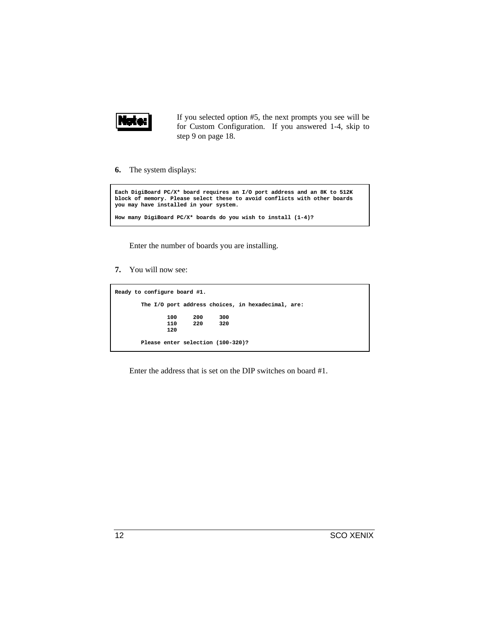

If you selected option #5, the next prompts you see will be for Custom Configuration. If you answered 1-4, skip to step 9 on page 18.

**6.** The system displays:

**Each DigiBoard PC/X\* board requires an I/O port address and an 8K to 512K block of memory. Please select these to avoid conflicts with other boards you may have installed in your system.**

**How many DigiBoard PC/X\* boards do you wish to install (1-4)?**

Enter the number of boards you are installing.

**7.** You will now see:

```
Ready to configure board #1.
       The I/O port address choices, in hexadecimal, are:
 100 200 300
              110 220 320
              120
       Please enter selection (100-320)?
```
Enter the address that is set on the DIP switches on board #1.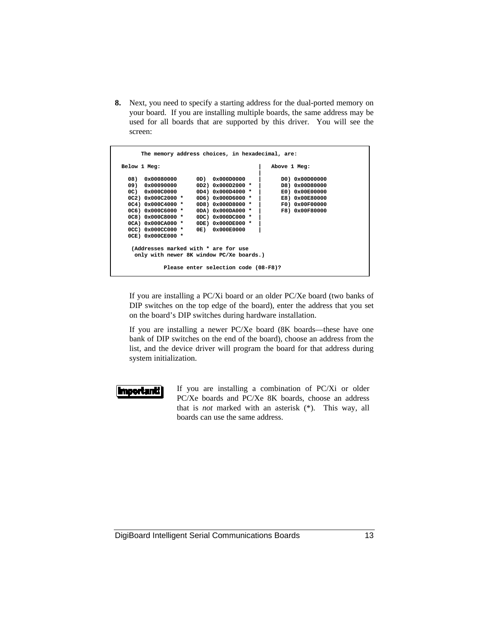**8.** Next, you need to specify a starting address for the dual-ported memory on your board. If you are installing multiple boards, the same address may be used for all boards that are supported by this driver. You will see the screen:

```
 The memory address choices, in hexadecimal, are:
   Below 1 Meg: | Above 1 Meg:
 |
     08) 0x00080000 0D) 0x000D0000 | D0) 0x00D00000
    09) 0x00090000 0D2) 0x000D2000 * | D8) 0x00D80000<br>0C) 0x000C0000 0D4) 0x000D4000 * | E0) 0x00E00000
    0C) 0x000C0000 0D4) 0x000D4000 * | E0) 0x00E00000<br>0C2) 0x000C2000 * 0D6) 0x000D6000 * | E8) 0x00E80000
                               0D6) 0x000D6000 * | E8) 0x00E80000<br>0D8) 0x000D8000 * | F0) 0x00F00000
    0C4) 0x000C4000 * 0D8) 0x000D8000 * | F0) 0x00F00000<br>0C6) 0x000C6000 * 0DA) 0x000DA000 * | F8) 0x00F80000
    0C6) 0x000C6000 * 0DA) 0x000DA000 *<br>0C8) 0x000C8000 * 0DC) 0x000DC000 *
    0C8) 0x000C8000 * 0DC) 0x000DC000 *<br>0CA) 0x000CA000 * 0DE) 0x000DE000 *
    0CA) 0x000CA000 * 0DE) 0x000DE000<br>0CC) 0x000CC000 * 0E) 0x000E0000
    0CC) 0x000CC000 *
     0CE) 0x000CE000 *
       (Addresses marked with * are for use
        only with newer 8K window PC/Xe boards.)
                   Please enter selection code (08-F8)?
```
If you are installing a PC/Xi board or an older PC/Xe board (two banks of DIP switches on the top edge of the board), enter the address that you set on the board's DIP switches during hardware installation.

If you are installing a newer PC/Xe board (8K boards—these have one bank of DIP switches on the end of the board), choose an address from the list, and the device driver will program the board for that address during system initialization.

### importanti

If you are installing a combination of PC/Xi or older PC/Xe boards and PC/Xe 8K boards, choose an address that is *not* marked with an asterisk (\*). This way, all boards can use the same address.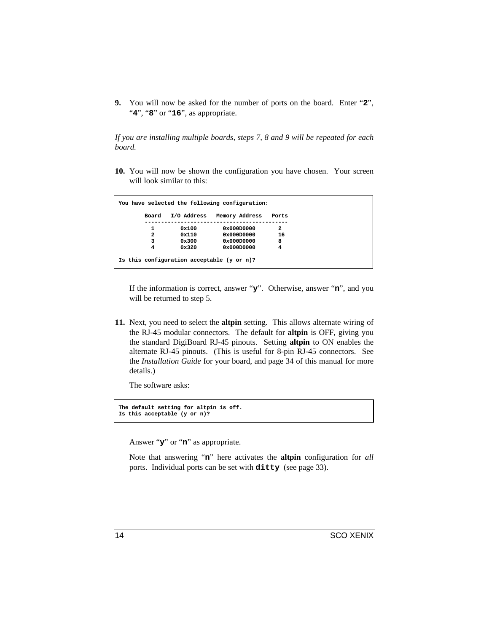**9.** You will now be asked for the number of ports on the board. Enter "**2**", "**4**", "**8**" or "**16**", as appropriate.

*If you are installing multiple boards, steps 7, 8 and 9 will be repeated for each board.*

**10.** You will now be shown the configuration you have chosen. Your screen will look similar to this:

| You have selected the following configuration: |                                                        |                     |              |  |
|------------------------------------------------|--------------------------------------------------------|---------------------|--------------|--|
| Board                                          | I/O Address                                            | Memory Address      | Ports        |  |
| 1                                              | 0x100                                                  | $0 \times 00000000$ | $\mathbf{2}$ |  |
| 2                                              | 0x110                                                  | $0 \times 00000000$ | 16           |  |
| з                                              | 0x300                                                  | $0 \times 00000000$ | 8            |  |
| 4                                              | 0x320                                                  | $0 \times 00000000$ | 4            |  |
|                                                | Is this configuration acceptable $(y \text{ or } n)$ ? |                     |              |  |

If the information is correct, answer "**y**". Otherwise, answer "**n**", and you will be returned to step 5.

**11.** Next, you need to select the **altpin** setting. This allows alternate wiring of the RJ-45 modular connectors. The default for **altpin** is OFF, giving you the standard DigiBoard RJ-45 pinouts. Setting **altpin** to ON enables the alternate RJ-45 pinouts. (This is useful for 8-pin RJ-45 connectors. See the *Installation Guide* for your board, and page 34 of this manual for more details.)

The software asks:

```
The default setting for altpin is off.
Is this acceptable (y or n)?
```
Answer "**y**" or "**n**" as appropriate.

Note that answering "**n**" here activates the **altpin** configuration for *all* ports. Individual ports can be set with **ditty** (see page 33).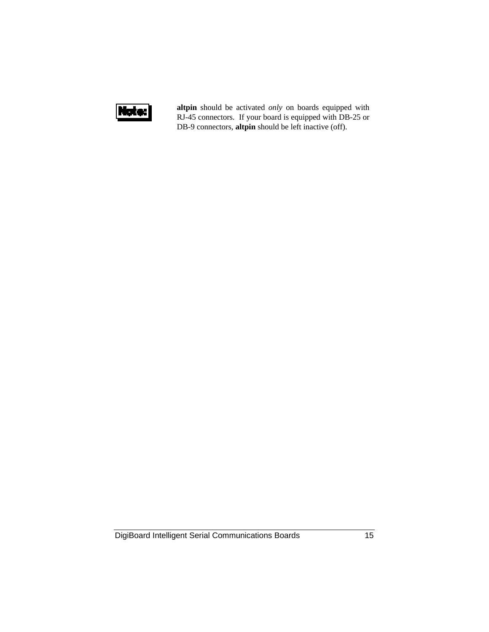# Note:

**altpin** should be activated *only* on boards equipped with RJ-45 connectors. If your board is equipped with DB-25 or DB-9 connectors, **altpin** should be left inactive (off).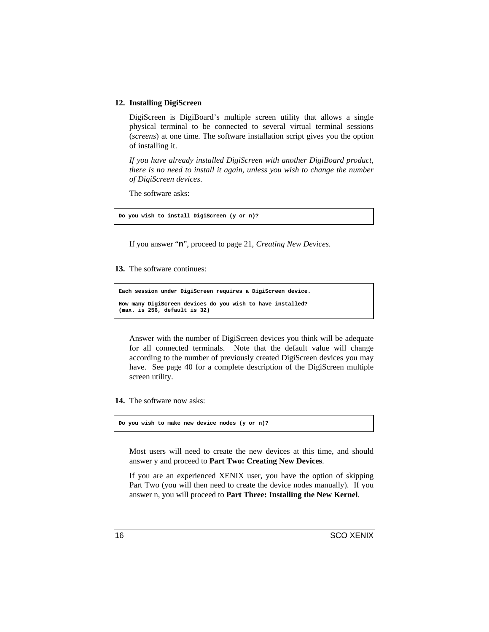#### **12. Installing DigiScreen**

DigiScreen is DigiBoard's multiple screen utility that allows a single physical terminal to be connected to several virtual terminal sessions (*screens*) at one time. The software installation script gives you the option of installing it.

*If you have already installed DigiScreen with another DigiBoard product, there is no need to install it again, unless you wish to change the number of DigiScreen devices*.

The software asks:

**Do you wish to install DigiScreen (y or n)?**

If you answer "**n**", proceed to page 21, *Creating New Devices*.

**13.** The software continues:

```
Each session under DigiScreen requires a DigiScreen device.
How many DigiScreen devices do you wish to have installed?
(max. is 256, default is 32)
```
Answer with the number of DigiScreen devices you think will be adequate for all connected terminals. Note that the default value will change according to the number of previously created DigiScreen devices you may have. See page 40 for a complete description of the DigiScreen multiple screen utility.

**14.** The software now asks:

**Do you wish to make new device nodes (y or n)?**

Most users will need to create the new devices at this time, and should answer y and proceed to **Part Two: Creating New Devices**.

If you are an experienced XENIX user, you have the option of skipping Part Two (you will then need to create the device nodes manually). If you answer n, you will proceed to **Part Three: Installing the New Kernel**.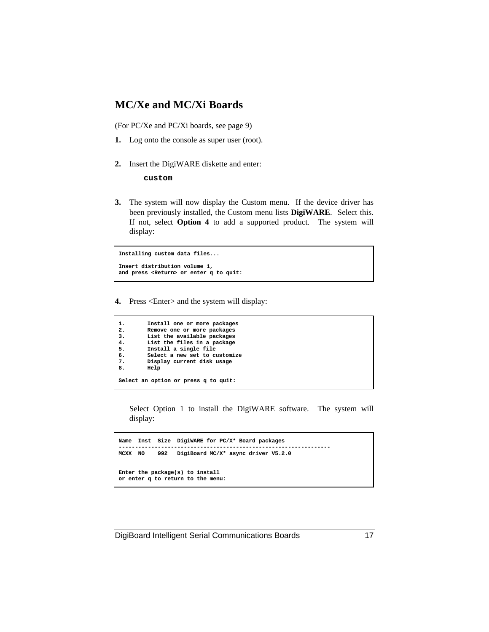### **MC/Xe and MC/Xi Boards**

(For PC/Xe and PC/Xi boards, see page 9)

- **1.** Log onto the console as super user (root).
- **2.** Insert the DigiWARE diskette and enter:

**custom**

**3.** The system will now display the Custom menu. If the device driver has been previously installed, the Custom menu lists **DigiWARE**. Select this. If not, select **Option 4** to add a supported product. The system will display:

```
Installing custom data files...
Insert distribution volume 1,
and press <Return> or enter q to quit:
```
**4.** Press <Enter> and the system will display:

```
1. Install one or more packages
2. Remove one or more packages
3. List the available packages
        4. List the files in a package
5. Install a single file
        6. Select a new set to customize
7. Display current disk usage
        8. Help
Select an option or press q to quit:
```
Select Option 1 to install the DigiWARE software. The system will display:

```
Name Inst Size DigiWARE for PC/X* Board packages
-----------------------------------------------------------------
MCXX NO 992 DigiBoard MC/X* async driver V5.2.0
Enter the package(s) to install
or enter q to return to the menu:
```
DigiBoard Intelligent Serial Communications Boards 17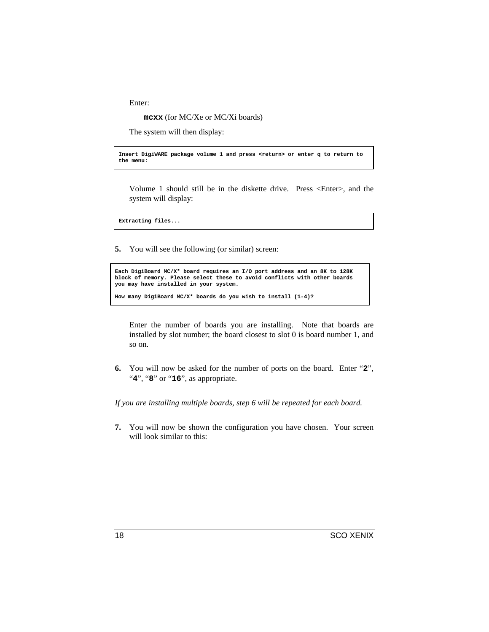Enter:

**mcxx** (for MC/Xe or MC/Xi boards)

The system will then display:

**Insert DigiWARE package volume 1 and press <return> or enter q to return to the menu:**

Volume 1 should still be in the diskette drive. Press <Enter>, and the system will display:

**Extracting files...**

**5.** You will see the following (or similar) screen:

**Each DigiBoard MC/X\* board requires an I/O port address and an 8K to 128K block of memory. Please select these to avoid conflicts with other boards you may have installed in your system.**

**How many DigiBoard MC/X\* boards do you wish to install (1-4)?**

Enter the number of boards you are installing. Note that boards are installed by slot number; the board closest to slot 0 is board number 1, and so on.

**6.** You will now be asked for the number of ports on the board. Enter "**2**", "**4**", "**8**" or "**16**", as appropriate.

*If you are installing multiple boards, step 6 will be repeated for each board.*

**7.** You will now be shown the configuration you have chosen. Your screen will look similar to this: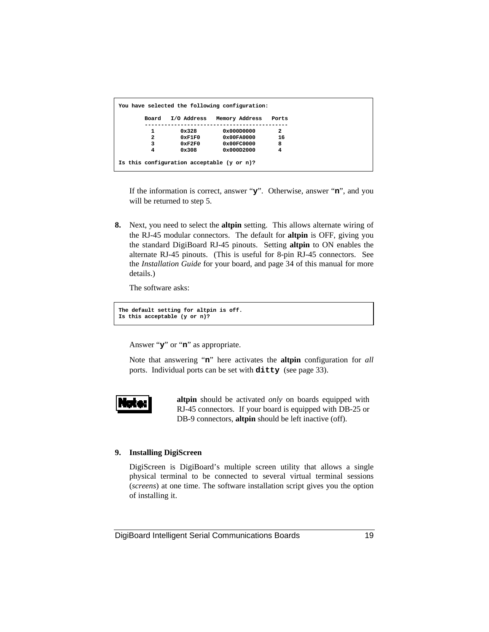```
You have selected the following configuration:
        Board I/O Address Memory Address Ports
        --------------------------------------------
                              0x000D0000
         2 0xF1F0 0x00FA0000 16<br>3 0xF2F0 0x00FC0000 8
                              0x00FC0000
          4 0x308 0x000D2000 4
Is this configuration acceptable (y or n)?
```
If the information is correct, answer "**y**". Otherwise, answer "**n**", and you will be returned to step 5.

**8.** Next, you need to select the **altpin** setting. This allows alternate wiring of the RJ-45 modular connectors. The default for **altpin** is OFF, giving you the standard DigiBoard RJ-45 pinouts. Setting **altpin** to ON enables the alternate RJ-45 pinouts. (This is useful for 8-pin RJ-45 connectors. See the *Installation Guide* for your board, and page 34 of this manual for more details.)

The software asks:

**The default setting for altpin is off. Is this acceptable (y or n)?**

Answer "**y**" or "**n**" as appropriate.

Note that answering "**n**" here activates the **altpin** configuration for *all* ports. Individual ports can be set with **ditty** (see page 33).



**altpin** should be activated *only* on boards equipped with RJ-45 connectors. If your board is equipped with DB-25 or DB-9 connectors, **altpin** should be left inactive (off).

#### **9. Installing DigiScreen**

DigiScreen is DigiBoard's multiple screen utility that allows a single physical terminal to be connected to several virtual terminal sessions (*screens*) at one time. The software installation script gives you the option of installing it.

DigiBoard Intelligent Serial Communications Boards 19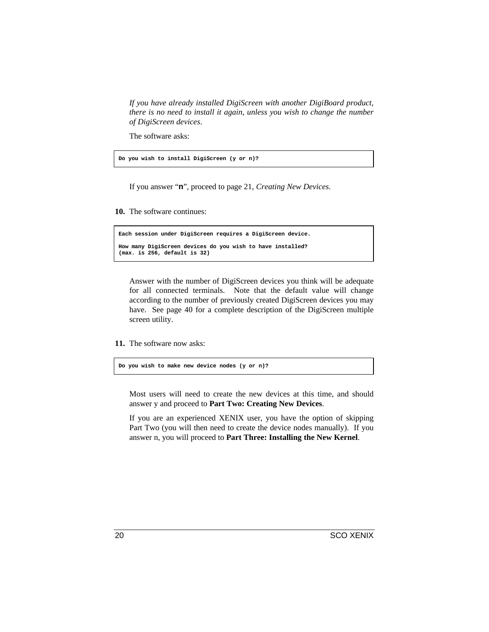*If you have already installed DigiScreen with another DigiBoard product, there is no need to install it again, unless you wish to change the number of DigiScreen devices*.

The software asks:

**Do you wish to install DigiScreen (y or n)?**

If you answer "**n**", proceed to page 21, *Creating New Devices*.

**10.** The software continues:

**Each session under DigiScreen requires a DigiScreen device.**

```
How many DigiScreen devices do you wish to have installed?
(max. is 256, default is 32)
```
Answer with the number of DigiScreen devices you think will be adequate for all connected terminals. Note that the default value will change according to the number of previously created DigiScreen devices you may have. See page 40 for a complete description of the DigiScreen multiple screen utility.

**11.** The software now asks:

**Do you wish to make new device nodes (y or n)?**

Most users will need to create the new devices at this time, and should answer y and proceed to **Part Two: Creating New Devices**.

If you are an experienced XENIX user, you have the option of skipping Part Two (you will then need to create the device nodes manually). If you answer n, you will proceed to **Part Three: Installing the New Kernel**.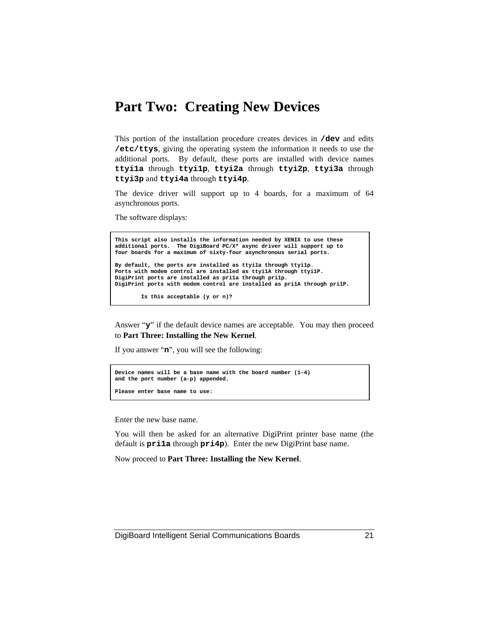## **Part Two: Creating New Devices**

This portion of the installation procedure creates devices in **/dev** and edits **/etc/ttys**, giving the operating system the information it needs to use the additional ports. By default, these ports are installed with device names **ttyi1a** through **ttyi1p**, **ttyi2a** through **ttyi2p**, **ttyi3a** through **ttyi3p** and **ttyi4a** through **ttyi4p**.

The device driver will support up to 4 boards, for a maximum of 64 asynchronous ports.

The software displays:

```
This script also installs the information needed by XENIX to use these
additional ports. The DigiBoard PC/X* async driver will support up to
four boards for a maximum of sixty-four asynchronous serial ports.
By default, the ports are installed as ttyi1a through ttyi1p.
Ports with modem control are installed as ttyi1A through ttyi1P.
DigiPrint ports are installed as pri1a through pri1p.
DigiPrint ports with modem control are installed as pri1A through pri1P.
         Is this acceptable (y or n)?
```
Answer "**y**" if the default device names are acceptable. You may then proceed to **Part Three: Installing the New Kernel**.

If you answer "**n**", you will see the following:

```
Device names will be a base name with the board number (1-4)
and the port number (a-p) appended.
Please enter base name to use:
```
Enter the new base name.

You will then be asked for an alternative DigiPrint printer base name (the default is **pri1a** through **pri4p**). Enter the new DigiPrint base name.

Now proceed to **Part Three: Installing the New Kernel**.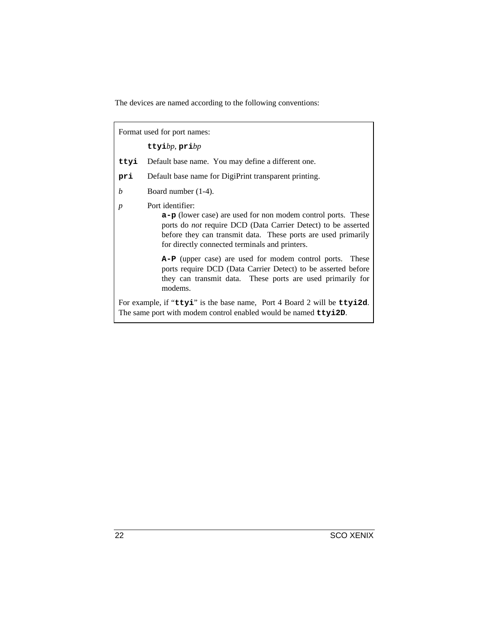The devices are named according to the following conventions:

| Format used for port names:                                                                                                                |                                                                                                                                                                                                                                                                                                                                                                                                                                                                                                 |  |
|--------------------------------------------------------------------------------------------------------------------------------------------|-------------------------------------------------------------------------------------------------------------------------------------------------------------------------------------------------------------------------------------------------------------------------------------------------------------------------------------------------------------------------------------------------------------------------------------------------------------------------------------------------|--|
|                                                                                                                                            | ttyi $bp$ , pri $bp$                                                                                                                                                                                                                                                                                                                                                                                                                                                                            |  |
| ttyi                                                                                                                                       | Default base name. You may define a different one.                                                                                                                                                                                                                                                                                                                                                                                                                                              |  |
| pri                                                                                                                                        | Default base name for DigiPrint transparent printing.                                                                                                                                                                                                                                                                                                                                                                                                                                           |  |
| b                                                                                                                                          | Board number $(1-4)$ .                                                                                                                                                                                                                                                                                                                                                                                                                                                                          |  |
| $\boldsymbol{p}$                                                                                                                           | Port identifier:<br><b>a-p</b> (lower case) are used for non modem control ports. These<br>ports do <i>not</i> require DCD (Data Carrier Detect) to be asserted<br>before they can transmit data. These ports are used primarily<br>for directly connected terminals and printers.<br><b>A-P</b> (upper case) are used for modem control ports. These<br>ports require DCD (Data Carrier Detect) to be asserted before<br>they can transmit data. These ports are used primarily for<br>modems. |  |
| For example, if "ttyi" is the base name, Port 4 Board 2 will be ttyi2d.<br>The same port with modem control enabled would be named ttyi2D. |                                                                                                                                                                                                                                                                                                                                                                                                                                                                                                 |  |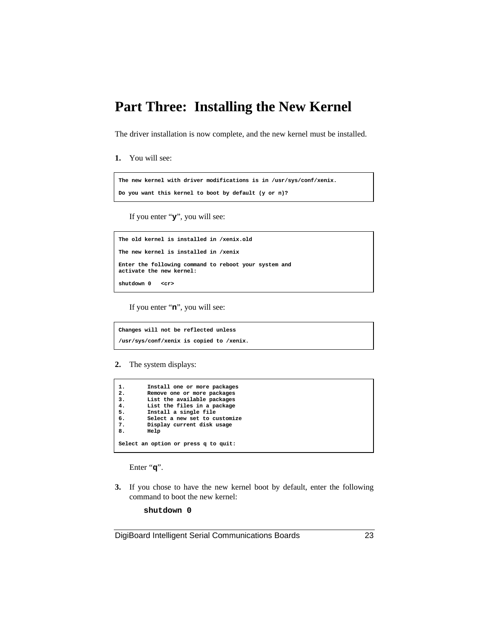## **Part Three: Installing the New Kernel**

The driver installation is now complete, and the new kernel must be installed.

**1.** You will see:

```
The new kernel with driver modifications is in /usr/sys/conf/xenix.
Do you want this kernel to boot by default (y or n)?
```
If you enter "**y**", you will see:

```
The old kernel is installed in /xenix.old
The new kernel is installed in /xenix
Enter the following command to reboot your system and
activate the new kernel:
shutdown 0 <cr>
```
If you enter "**n**", you will see:

**Changes will not be reflected unless /usr/sys/conf/xenix is copied to /xenix.**

**2.** The system displays:

| 1.                                   | Install one or more packages  |  |
|--------------------------------------|-------------------------------|--|
| 2.                                   | Remove one or more packages   |  |
| 3.                                   | List the available packages   |  |
| 4.                                   | List the files in a package   |  |
| 5.                                   | Install a single file         |  |
| б.                                   | Select a new set to customize |  |
| 7.                                   | Display current disk usage    |  |
| 8.                                   | Help                          |  |
|                                      |                               |  |
| Select an option or press q to quit: |                               |  |
|                                      |                               |  |

Enter "**q**".

**3.** If you chose to have the new kernel boot by default, enter the following command to boot the new kernel:

**shutdown 0**

DigiBoard Intelligent Serial Communications Boards 23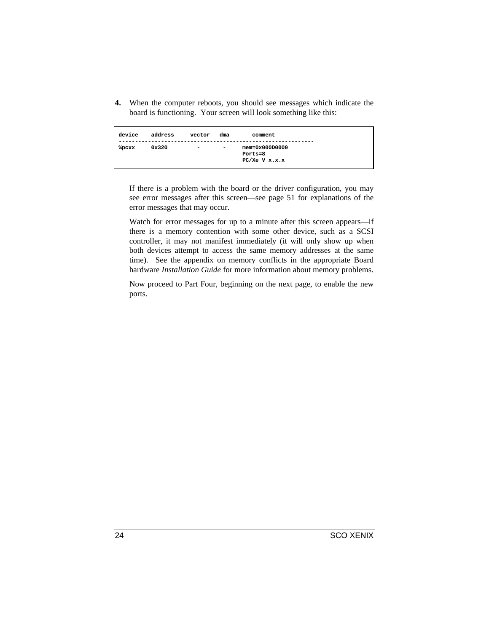**4.** When the computer reboots, you should see messages which indicate the board is functioning. Your screen will look something like this:

| device       | address | vector                   | dma                      | comment                                                   |
|--------------|---------|--------------------------|--------------------------|-----------------------------------------------------------|
| <b>%pcxx</b> | 0x320   | $\overline{\phantom{0}}$ | $\overline{\phantom{a}}$ | $mem = 0 \times 000D0000$<br>Ports=8<br>$PC/Xe$ V $x.x.x$ |

If there is a problem with the board or the driver configuration, you may see error messages after this screen—see page 51 for explanations of the error messages that may occur.

Watch for error messages for up to a minute after this screen appears—if there is a memory contention with some other device, such as a SCSI controller, it may not manifest immediately (it will only show up when both devices attempt to access the same memory addresses at the same time). See the appendix on memory conflicts in the appropriate Board hardware *Installation Guide* for more information about memory problems.

Now proceed to Part Four, beginning on the next page, to enable the new ports.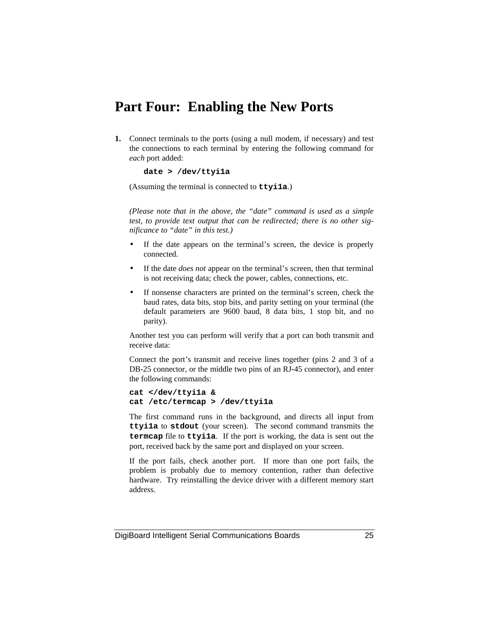### **Part Four: Enabling the New Ports**

**1.** Connect terminals to the ports (using a null modem, if necessary) and test the connections to each terminal by entering the following command for *each* port added:

```
date > /dev/ttyi1a
```
(Assuming the terminal is connected to **ttyi1a**.)

*(Please note that in the above, the "date" command is used as a simple test, to provide text output that can be redirected; there is no other significance to "date" in this test.)*

- If the date appears on the terminal's screen, the device is properly connected.
- If the date *does not* appear on the terminal's screen, then that terminal is not receiving data; check the power, cables, connections, etc.
- If nonsense characters are printed on the terminal's screen, check the baud rates, data bits, stop bits, and parity setting on your terminal (the default parameters are 9600 baud, 8 data bits, 1 stop bit, and no parity).

Another test you can perform will verify that a port can both transmit and receive data:

Connect the port's transmit and receive lines together (pins 2 and 3 of a DB-25 connector, or the middle two pins of an RJ-45 connector), and enter the following commands:

```
cat </dev/ttyi1a &
cat /etc/termcap > /dev/ttyi1a
```
The first command runs in the background, and directs all input from **ttyi1a** to **stdout** (your screen). The second command transmits the **termcap** file to **ttyi1a**. If the port is working, the data is sent out the port, received back by the same port and displayed on your screen.

If the port fails, check another port. If more than one port fails, the problem is probably due to memory contention, rather than defective hardware. Try reinstalling the device driver with a different memory start address.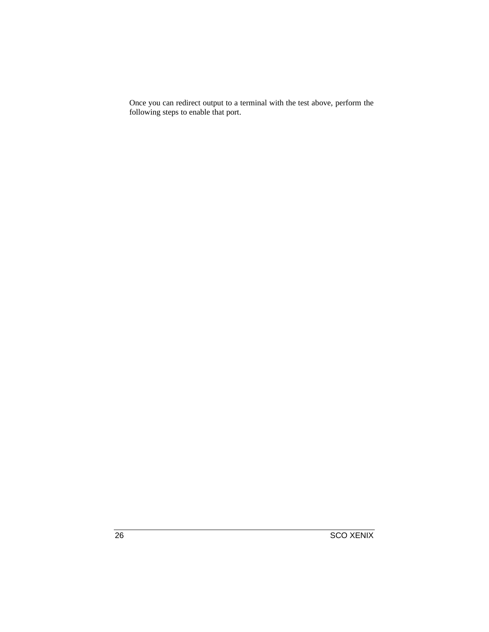Once you can redirect output to a terminal with the test above, perform the following steps to enable that port.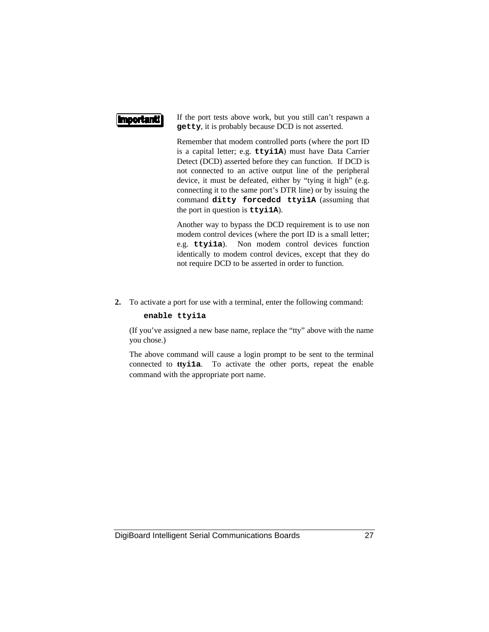### |Important!

If the port tests above work, but you still can't respawn a **getty**, it is probably because DCD is not asserted.

Remember that modem controlled ports (where the port ID is a capital letter; e.g. **ttyi1A**) must have Data Carrier Detect (DCD) asserted before they can function. If DCD is not connected to an active output line of the peripheral device, it must be defeated, either by "tying it high" (e.g. connecting it to the same port's DTR line) or by issuing the command **ditty forcedcd ttyi1A** (assuming that the port in question is **ttyi1A**).

Another way to bypass the DCD requirement is to use non modem control devices (where the port ID is a small letter; e.g. **ttyi1a**). Non modem control devices function identically to modem control devices, except that they do not require DCD to be asserted in order to function.

**2.** To activate a port for use with a terminal, enter the following command:

#### **enable ttyi1a**

(If you've assigned a new base name, replace the "tty" above with the name you chose.)

The above command will cause a login prompt to be sent to the terminal connected to **ttyi1a**. To activate the other ports, repeat the enable command with the appropriate port name.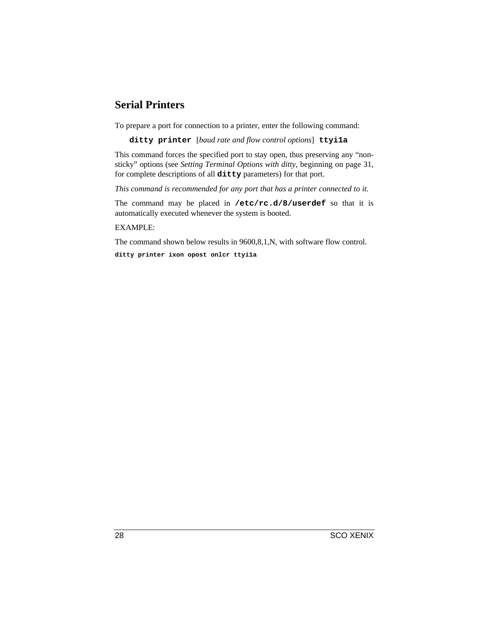### **Serial Printers**

To prepare a port for connection to a printer, enter the following command:

**ditty printer** [*baud rate and flow control options*] **ttyi1a**

This command forces the specified port to stay open, thus preserving any "nonsticky" options (see *Setting Terminal Options with ditty*, beginning on page 31, for complete descriptions of all **ditty** parameters) for that port.

*This command is recommended for any port that has a printer connected to it.*

The command may be placed in **/etc/rc.d/8/userdef** so that it is automatically executed whenever the system is booted.

EXAMPLE:

The command shown below results in 9600,8,1,N, with software flow control. **ditty printer ixon opost onlcr ttyi1a**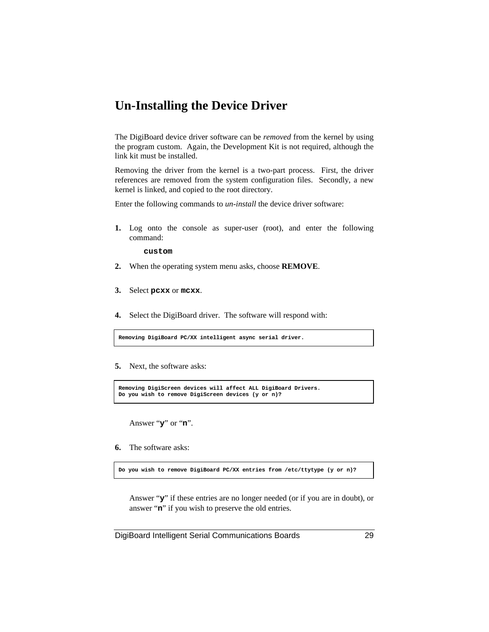### **Un-Installing the Device Driver**

The DigiBoard device driver software can be *removed* from the kernel by using the program custom. Again, the Development Kit is not required, although the link kit must be installed.

Removing the driver from the kernel is a two-part process. First, the driver references are removed from the system configuration files. Secondly, a new kernel is linked, and copied to the root directory.

Enter the following commands to *un-install* the device driver software:

**1.** Log onto the console as super-user (root), and enter the following command:

**custom**

- **2.** When the operating system menu asks, choose **REMOVE**.
- **3.** Select **pcxx** or **mcxx**.
- **4.** Select the DigiBoard driver. The software will respond with:

**Removing DigiBoard PC/XX intelligent async serial driver.**

**5.** Next, the software asks:

```
Removing DigiScreen devices will affect ALL DigiBoard Drivers.
Do you wish to remove DigiScreen devices (y or n)?
```
Answer "**y**" or "**n**".

**6.** The software asks:

**Do you wish to remove DigiBoard PC/XX entries from /etc/ttytype (y or n)?**

Answer "**y**" if these entries are no longer needed (or if you are in doubt), or answer "**n**" if you wish to preserve the old entries.

DigiBoard Intelligent Serial Communications Boards 29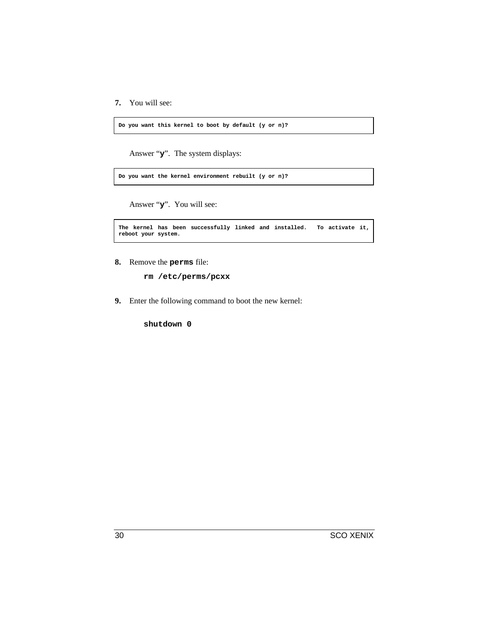**7.** You will see:

**Do you want this kernel to boot by default (y or n)?**

Answer "**y**". The system displays:

**Do you want the kernel environment rebuilt (y or n)?**

Answer "**y**". You will see:

```
The kernel has been successfully linked and installed. To activate it,
reboot your system.
```
**8.** Remove the **perms** file:

**rm /etc/perms/pcxx**

**9.** Enter the following command to boot the new kernel:

**shutdown 0**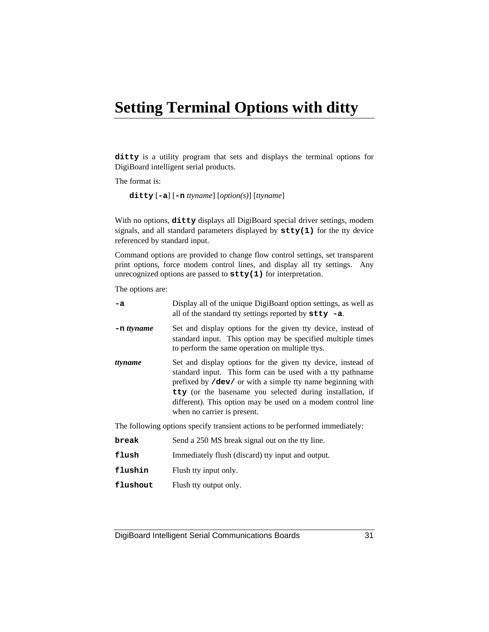# **Setting Terminal Options with ditty**

**ditty** is a utility program that sets and displays the terminal options for DigiBoard intelligent serial products.

The format is:

**ditty** [**-a**] [**-n** *ttyname*] [*option(s)*] [*ttyname*]

With no options,  $ditty$  displays all DigiBoard special driver settings, modem signals, and all standard parameters displayed by **stty(1)** for the tty device referenced by standard input.

Command options are provided to change flow control settings, set transparent print options, force modem control lines, and display all tty settings. Any unrecognized options are passed to **stty(1)** for interpretation.

The options are:

| -a         | Display all of the unique DigiBoard option settings, as well as<br>all of the standard tty settings reported by $\texttt{stty}$ -a.                                                                                                                                                                                                                       |
|------------|-----------------------------------------------------------------------------------------------------------------------------------------------------------------------------------------------------------------------------------------------------------------------------------------------------------------------------------------------------------|
| -n ttyname | Set and display options for the given tty device, instead of<br>standard input. This option may be specified multiple times<br>to perform the same operation on multiple ttys.                                                                                                                                                                            |
| ttyname    | Set and display options for the given tty device, instead of<br>standard input. This form can be used with a tty pathname<br>prefixed by /dev/ or with a simple tty name beginning with<br><b>tty</b> (or the basename you selected during installation, if<br>different). This option may be used on a modem control line<br>when no carrier is present. |
|            | The following options specify transient actions to be performed immediately:                                                                                                                                                                                                                                                                              |
| break      | Send a 250 MS break signal out on the tty line.                                                                                                                                                                                                                                                                                                           |
| flush      | Immediately flush (discard) tty input and output.                                                                                                                                                                                                                                                                                                         |

| flushin | Flush tty input only. |
|---------|-----------------------|
|---------|-----------------------|

**flushout** Flush tty output only.

DigiBoard Intelligent Serial Communications Boards 31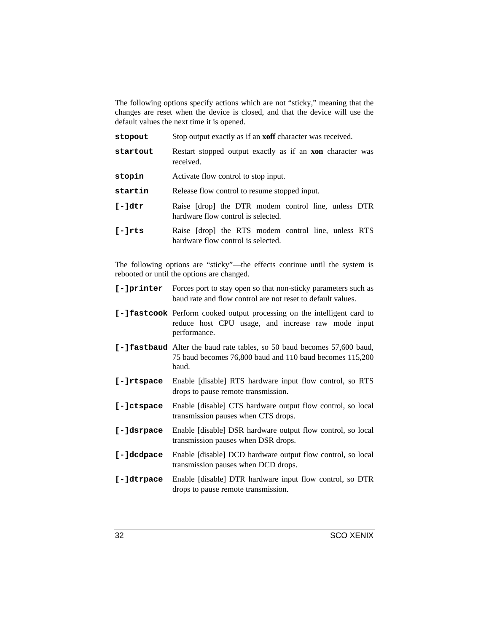The following options specify actions which are not "sticky," meaning that the changes are reset when the device is closed, and that the device will use the default values the next time it is opened.

| stopout          | Stop output exactly as if an <b>xoff</b> character was received.                          |
|------------------|-------------------------------------------------------------------------------------------|
| startout         | Restart stopped output exactly as if an <b>xon</b> character was<br>received.             |
| stopin           | Activate flow control to stop input.                                                      |
| startin          | Release flow control to resume stopped input.                                             |
| $[-] \text{dtr}$ | Raise [drop] the DTR modem control line, unless DTR<br>hardware flow control is selected. |
| $[-]$ rts        | Raise [drop] the RTS modem control line, unless RTS<br>hardware flow control is selected. |

The following options are "sticky"—the effects continue until the system is rebooted or until the options are changed.

**[-]printer** Forces port to stay open so that non-sticky parameters such as baud rate and flow control are not reset to default values. **[-]fastcook** Perform cooked output processing on the intelligent card to reduce host CPU usage, and increase raw mode input performance. **[-]fastbaud** Alter the baud rate tables, so 50 baud becomes 57,600 baud, 75 baud becomes 76,800 baud and 110 baud becomes 115,200 baud. **[-]rtspace** Enable [disable] RTS hardware input flow control, so RTS drops to pause remote transmission. **[-]ctspace** Enable [disable] CTS hardware output flow control, so local transmission pauses when CTS drops. **[-]dsrpace** Enable [disable] DSR hardware output flow control, so local transmission pauses when DSR drops. **[-]dcdpace** Enable [disable] DCD hardware output flow control, so local transmission pauses when DCD drops. **[-]dtrpace** Enable [disable] DTR hardware input flow control, so DTR drops to pause remote transmission.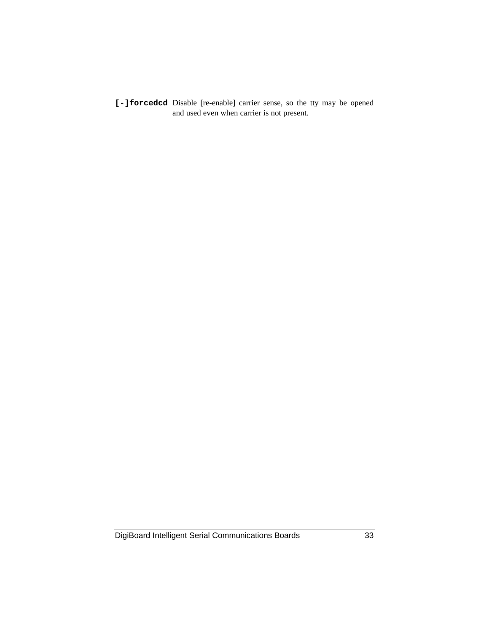**[-]forcedcd** Disable [re-enable] carrier sense, so the tty may be opened and used even when carrier is not present.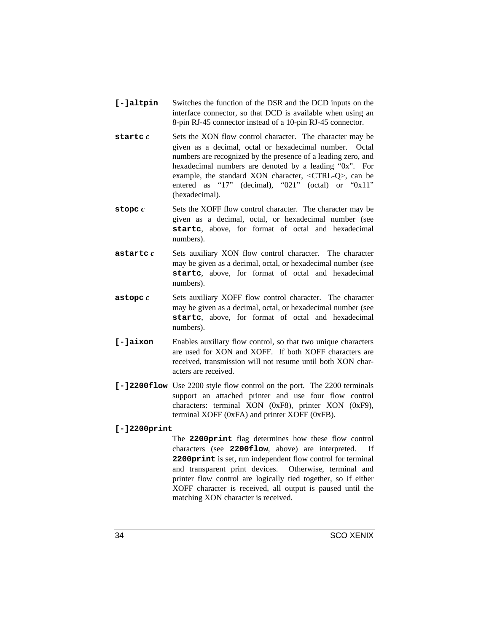- **[-]altpin** Switches the function of the DSR and the DCD inputs on the interface connector, so that DCD is available when using an 8-pin RJ-45 connector instead of a 10-pin RJ-45 connector.
- **startc** *c* Sets the XON flow control character. The character may be given as a decimal, octal or hexadecimal number. Octal numbers are recognized by the presence of a leading zero, and hexadecimal numbers are denoted by a leading "0x". For example, the standard XON character, <CTRL-Q>, can be entered as "17" (decimal), "021" (octal) or "0x11" (hexadecimal).
- **stopc** *c* Sets the XOFF flow control character. The character may be given as a decimal, octal, or hexadecimal number (see **startc**, above, for format of octal and hexadecimal numbers).
- **astartc** *c* Sets auxiliary XON flow control character. The character may be given as a decimal, octal, or hexadecimal number (see **startc**, above, for format of octal and hexadecimal numbers).
- **astopc** *c* Sets auxiliary XOFF flow control character. The character may be given as a decimal, octal, or hexadecimal number (see **startc**, above, for format of octal and hexadecimal numbers).
- **[-]aixon** Enables auxiliary flow control, so that two unique characters are used for XON and XOFF. If both XOFF characters are received, transmission will not resume until both XON characters are received.
- **[-]2200flow** Use 2200 style flow control on the port. The 2200 terminals support an attached printer and use four flow control characters: terminal XON (0xF8), printer XON (0xF9), terminal XOFF (0xFA) and printer XOFF (0xFB).

#### **[-]2200print**

The **2200print** flag determines how these flow control characters (see **2200flow**, above) are interpreted. If **2200print** is set, run independent flow control for terminal and transparent print devices. Otherwise, terminal and printer flow control are logically tied together, so if either XOFF character is received, all output is paused until the matching XON character is received.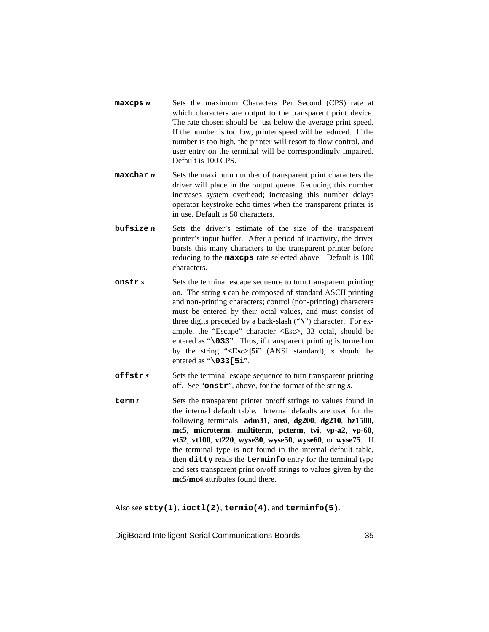- **maxcps** *n* Sets the maximum Characters Per Second (CPS) rate at which characters are output to the transparent print device. The rate chosen should be just below the average print speed. If the number is too low, printer speed will be reduced. If the number is too high, the printer will resort to flow control, and user entry on the terminal will be correspondingly impaired. Default is 100 CPS.
- **maxchar** *n* Sets the maximum number of transparent print characters the driver will place in the output queue. Reducing this number increases system overhead; increasing this number delays operator keystroke echo times when the transparent printer is in use. Default is 50 characters.
- **bufsize** *n* Sets the driver's estimate of the size of the transparent printer's input buffer. After a period of inactivity, the driver bursts this many characters to the transparent printer before reducing to the **maxcps** rate selected above. Default is 100 characters.
- **onstr** *s* Sets the terminal escape sequence to turn transparent printing on. The string *s* can be composed of standard ASCII printing and non-printing characters; control (non-printing) characters must be entered by their octal values, and must consist of three digits preceded by a back-slash ("**\**") character. For example, the "Escape" character <Esc>, 33 octal, should be entered as "**\033**". Thus, if transparent printing is turned on by the string "**<Esc>[5i**" (ANSI standard), *s* should be entered as "**\033[5i**".
- **offstr** *s* Sets the terminal escape sequence to turn transparent printing off. See "**onstr**", above, for the format of the string *s*.
- **term** *t* Sets the transparent printer on/off strings to values found in the internal default table. Internal defaults are used for the following terminals: **adm31**, **ansi**, **dg200**, **dg210**, **hz1500**, **mc5**, **microterm**, **multiterm**, **pcterm**, **tvi**, **vp-a2**, **vp-60**, **vt52**, **vt100**, **vt220**, **wyse30**, **wyse50**, **wyse60**, or **wyse75**. If the terminal type is not found in the internal default table, then **ditty** reads the **terminfo** entry for the terminal type and sets transparent print on/off strings to values given by the **mc5**/**mc4** attributes found there.

Also see **stty(1)**, **ioctl(2)**, **termio(4)**, and **terminfo(5)**.

DigiBoard Intelligent Serial Communications Boards 35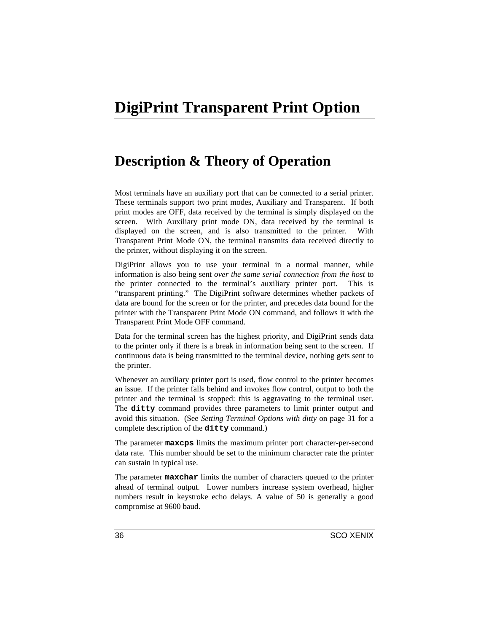# **DigiPrint Transparent Print Option**

### **Description & Theory of Operation**

Most terminals have an auxiliary port that can be connected to a serial printer. These terminals support two print modes, Auxiliary and Transparent. If both print modes are OFF, data received by the terminal is simply displayed on the screen. With Auxiliary print mode ON, data received by the terminal is displayed on the screen, and is also transmitted to the printer. With Transparent Print Mode ON, the terminal transmits data received directly to the printer, without displaying it on the screen.

DigiPrint allows you to use your terminal in a normal manner, while information is also being sent *over the same serial connection from the host* to the printer connected to the terminal's auxiliary printer port. This is "transparent printing." The DigiPrint software determines whether packets of data are bound for the screen or for the printer, and precedes data bound for the printer with the Transparent Print Mode ON command, and follows it with the Transparent Print Mode OFF command.

Data for the terminal screen has the highest priority, and DigiPrint sends data to the printer only if there is a break in information being sent to the screen. If continuous data is being transmitted to the terminal device, nothing gets sent to the printer.

Whenever an auxiliary printer port is used, flow control to the printer becomes an issue. If the printer falls behind and invokes flow control, output to both the printer and the terminal is stopped: this is aggravating to the terminal user. The **ditty** command provides three parameters to limit printer output and avoid this situation. (See *Setting Terminal Options with ditty* on page 31 for a complete description of the **ditty** command.)

The parameter **maxcps** limits the maximum printer port character-per-second data rate. This number should be set to the minimum character rate the printer can sustain in typical use.

The parameter **maxchar** limits the number of characters queued to the printer ahead of terminal output. Lower numbers increase system overhead, higher numbers result in keystroke echo delays. A value of 50 is generally a good compromise at 9600 baud.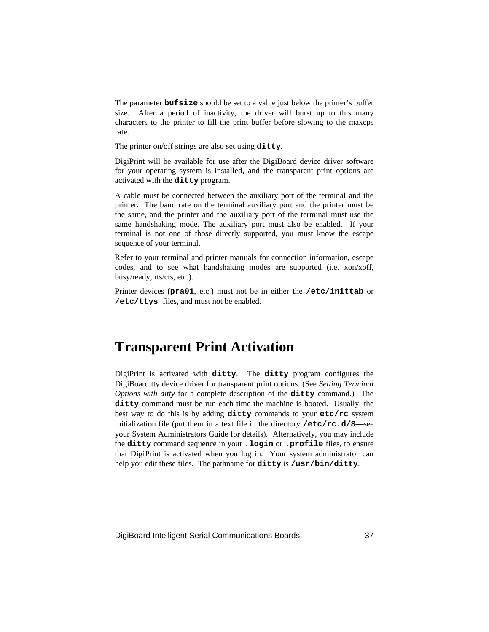The parameter **bufsize** should be set to a value just below the printer's buffer size. After a period of inactivity, the driver will burst up to this many characters to the printer to fill the print buffer before slowing to the maxcps rate.

The printer on/off strings are also set using **ditty**.

DigiPrint will be available for use after the DigiBoard device driver software for your operating system is installed, and the transparent print options are activated with the **ditty** program.

A cable must be connected between the auxiliary port of the terminal and the printer. The baud rate on the terminal auxiliary port and the printer must be the same, and the printer and the auxiliary port of the terminal must use the same handshaking mode. The auxiliary port must also be enabled. If your terminal is not one of those directly supported, you must know the escape sequence of your terminal.

Refer to your terminal and printer manuals for connection information, escape codes, and to see what handshaking modes are supported (i.e. xon/xoff, busy/ready, rts/cts, etc.).

Printer devices (**pra01**, etc.) must not be in either the **/etc/inittab** or **/etc/ttys** files, and must not be enabled.

### **Transparent Print Activation**

DigiPrint is activated with **ditty**. The **ditty** program configures the DigiBoard tty device driver for transparent print options. (See *Setting Terminal Options with ditty* for a complete description of the **ditty** command.) The **ditty** command must be run each time the machine is booted. Usually, the best way to do this is by adding **ditty** commands to your **etc/rc** system initialization file (put them in a text file in the directory **/etc/rc.d/8**—see your System Administrators Guide for details). Alternatively, you may include the **ditty** command sequence in your **.login** or **.profile** files, to ensure that DigiPrint is activated when you log in. Your system administrator can help you edit these files. The pathname for **ditty** is **/usr/bin/ditty**.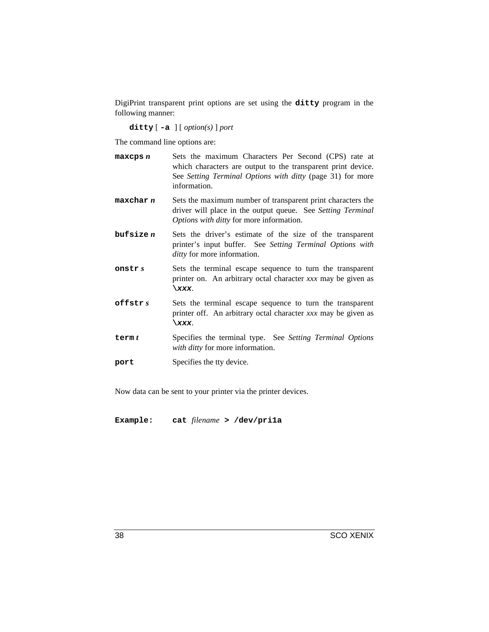DigiPrint transparent print options are set using the **ditty** program in the following manner:

**ditty** [ **-a** ] [ *option(s)* ] *port*

The command line options are:

- **maxcps** *n* Sets the maximum Characters Per Second (CPS) rate at which characters are output to the transparent print device. See *Setting Terminal Options with ditty* (page 31) for more information.
- **maxchar** *n* Sets the maximum number of transparent print characters the driver will place in the output queue. See *Setting Terminal Options with ditty* for more information.
- **bufsize** *n* Sets the driver's estimate of the size of the transparent printer's input buffer. See *Setting Terminal Options with ditty* for more information.
- **onstr** *s* Sets the terminal escape sequence to turn the transparent printer on. An arbitrary octal character *xxx* may be given as **\***xxx*.
- **offstr** *s* Sets the terminal escape sequence to turn the transparent printer off. An arbitrary octal character *xxx* may be given as **\***xxx*.
- **term** *t* Specifies the terminal type. See *Setting Terminal Options with ditty* for more information.
- **port** Specifies the tty device.

Now data can be sent to your printer via the printer devices.

**Example: cat** *filename* **> /dev/pri1a**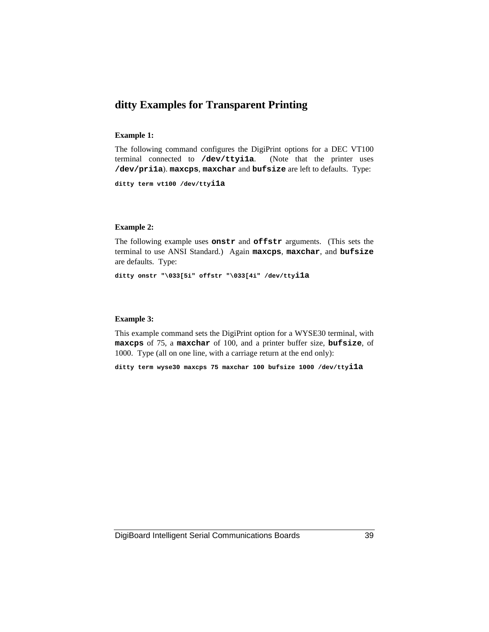### **ditty Examples for Transparent Printing**

### **Example 1:**

The following command configures the DigiPrint options for a DEC VT100 terminal connected to **/dev/ttyi1a**. (Note that the printer uses **/dev/pri1a**). **maxcps**, **maxchar** and **bufsize** are left to defaults. Type:

**ditty term vt100 /dev/ttyi1a**

#### **Example 2:**

The following example uses **onstr** and **offstr** arguments. (This sets the terminal to use ANSI Standard.) Again **maxcps**, **maxchar**, and **bufsize** are defaults. Type:

**ditty onstr "\033[5i" offstr "\033[4i" /dev/ttyi1a**

#### **Example 3:**

This example command sets the DigiPrint option for a WYSE30 terminal, with **maxcps** of 75, a **maxchar** of 100, and a printer buffer size, **bufsize**, of 1000. Type (all on one line, with a carriage return at the end only):

**ditty term wyse30 maxcps 75 maxchar 100 bufsize 1000 /dev/ttyi1a**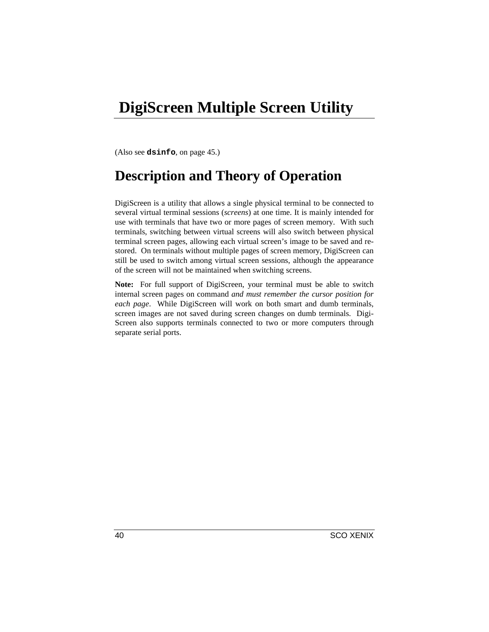# **DigiScreen Multiple Screen Utility**

(Also see **dsinfo**, on page 45.)

### **Description and Theory of Operation**

DigiScreen is a utility that allows a single physical terminal to be connected to several virtual terminal sessions (*screens*) at one time. It is mainly intended for use with terminals that have two or more pages of screen memory. With such terminals, switching between virtual screens will also switch between physical terminal screen pages, allowing each virtual screen's image to be saved and restored. On terminals without multiple pages of screen memory, DigiScreen can still be used to switch among virtual screen sessions, although the appearance of the screen will not be maintained when switching screens.

**Note:** For full support of DigiScreen, your terminal must be able to switch internal screen pages on command *and must remember the cursor position for each page*. While DigiScreen will work on both smart and dumb terminals, screen images are not saved during screen changes on dumb terminals. Digi-Screen also supports terminals connected to two or more computers through separate serial ports.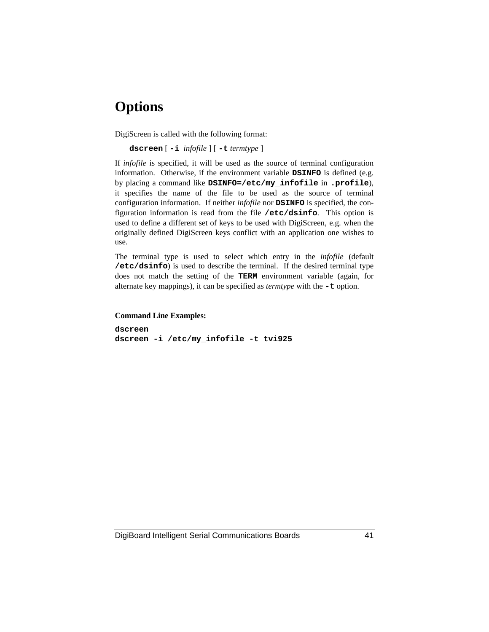# **Options**

DigiScreen is called with the following format:

**dscreen** [ **-i** *infofile* ] [ **-t** *termtype* ]

If *infofile* is specified, it will be used as the source of terminal configuration information. Otherwise, if the environment variable **DSINFO** is defined (e.g. by placing a command like **DSINFO=/etc/my\_infofile** in **.profile**), it specifies the name of the file to be used as the source of terminal configuration information. If neither *infofile* nor **DSINFO** is specified, the configuration information is read from the file **/etc/dsinfo**. This option is used to define a different set of keys to be used with DigiScreen, e.g. when the originally defined DigiScreen keys conflict with an application one wishes to use.

The terminal type is used to select which entry in the *infofile* (default **/etc/dsinfo**) is used to describe the terminal. If the desired terminal type does not match the setting of the **TERM** environment variable (again, for alternate key mappings), it can be specified as *termtype* with the **-t** option.

**Command Line Examples:**

**dscreen dscreen -i /etc/my\_infofile -t tvi925**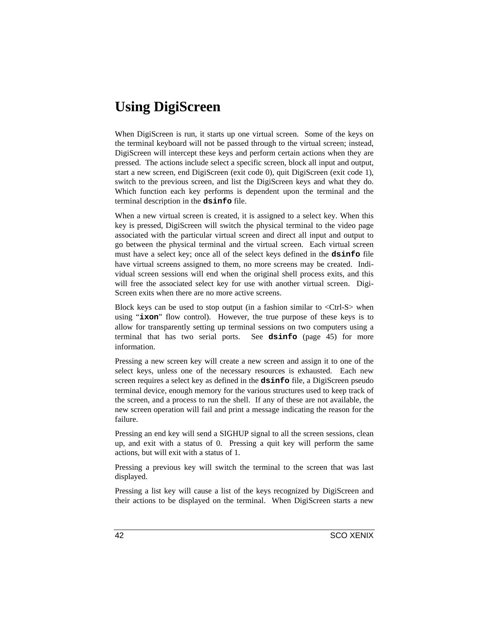## **Using DigiScreen**

When DigiScreen is run, it starts up one virtual screen. Some of the keys on the terminal keyboard will not be passed through to the virtual screen; instead, DigiScreen will intercept these keys and perform certain actions when they are pressed. The actions include select a specific screen, block all input and output, start a new screen, end DigiScreen (exit code 0), quit DigiScreen (exit code 1), switch to the previous screen, and list the DigiScreen keys and what they do. Which function each key performs is dependent upon the terminal and the terminal description in the **dsinfo** file.

When a new virtual screen is created, it is assigned to a select key. When this key is pressed, DigiScreen will switch the physical terminal to the video page associated with the particular virtual screen and direct all input and output to go between the physical terminal and the virtual screen. Each virtual screen must have a select key; once all of the select keys defined in the **dsinfo** file have virtual screens assigned to them, no more screens may be created. Individual screen sessions will end when the original shell process exits, and this will free the associated select key for use with another virtual screen. Digi-Screen exits when there are no more active screens.

Block keys can be used to stop output (in a fashion similar to  $\langle$ Ctrl-S $>$  when using "**ixon**" flow control). However, the true purpose of these keys is to allow for transparently setting up terminal sessions on two computers using a terminal that has two serial ports. See **dsinfo** (page 45) for more information.

Pressing a new screen key will create a new screen and assign it to one of the select keys, unless one of the necessary resources is exhausted. Each new screen requires a select key as defined in the **dsinfo** file, a DigiScreen pseudo terminal device, enough memory for the various structures used to keep track of the screen, and a process to run the shell. If any of these are not available, the new screen operation will fail and print a message indicating the reason for the failure.

Pressing an end key will send a SIGHUP signal to all the screen sessions, clean up, and exit with a status of 0. Pressing a quit key will perform the same actions, but will exit with a status of 1.

Pressing a previous key will switch the terminal to the screen that was last displayed.

Pressing a list key will cause a list of the keys recognized by DigiScreen and their actions to be displayed on the terminal. When DigiScreen starts a new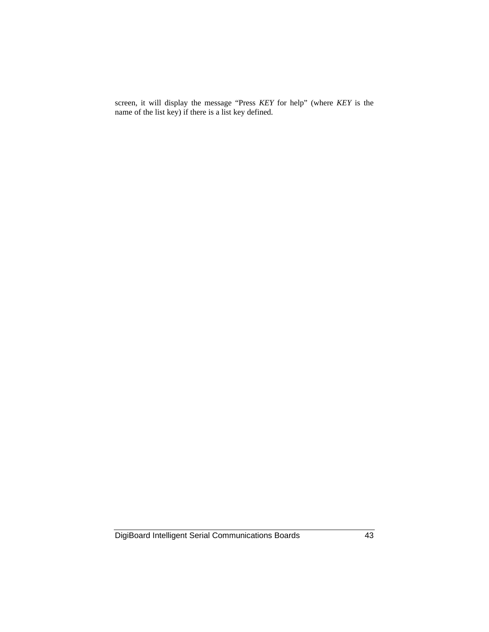screen, it will display the message "Press *KEY* for help" (where *KEY* is the name of the list key) if there is a list key defined.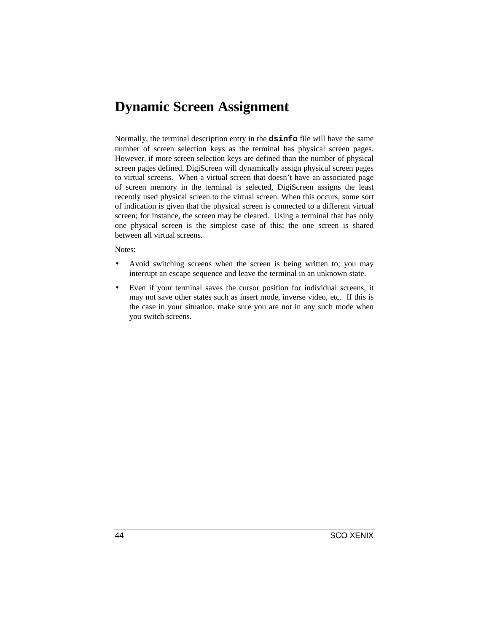# **Dynamic Screen Assignment**

Normally, the terminal description entry in the **dsinfo** file will have the same number of screen selection keys as the terminal has physical screen pages. However, if more screen selection keys are defined than the number of physical screen pages defined, DigiScreen will dynamically assign physical screen pages to virtual screens. When a virtual screen that doesn't have an associated page of screen memory in the terminal is selected, DigiScreen assigns the least recently used physical screen to the virtual screen. When this occurs, some sort of indication is given that the physical screen is connected to a different virtual screen; for instance, the screen may be cleared. Using a terminal that has only one physical screen is the simplest case of this; the one screen is shared between all virtual screens.

#### Notes:

- Avoid switching screens when the screen is being written to; you may interrupt an escape sequence and leave the terminal in an unknown state.
- Even if your terminal saves the cursor position for individual screens, it may not save other states such as insert mode, inverse video, etc. If this is the case in your situation, make sure you are not in any such mode when you switch screens.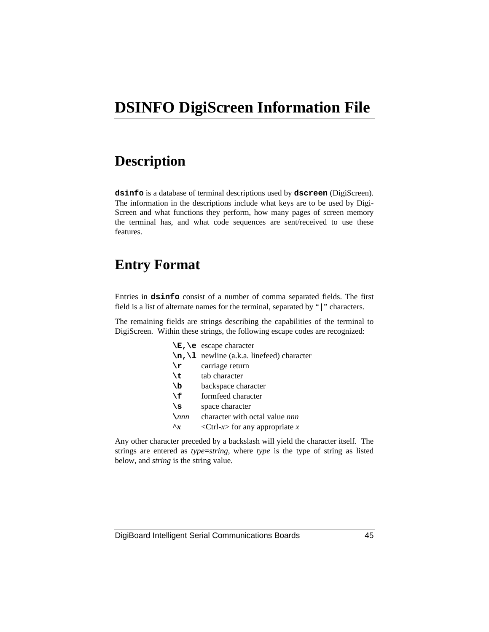# **DSINFO DigiScreen Information File**

### **Description**

**dsinfo** is a database of terminal descriptions used by **dscreen** (DigiScreen). The information in the descriptions include what keys are to be used by Digi-Screen and what functions they perform, how many pages of screen memory the terminal has, and what code sequences are sent/received to use these features.

# **Entry Format**

Entries in **dsinfo** consist of a number of comma separated fields. The first field is a list of alternate names for the terminal, separated by "**|**" characters.

The remaining fields are strings describing the capabilities of the terminal to DigiScreen. Within these strings, the following escape codes are recognized:

|              | $\mathbb{E}$ , $\mathbb{E}$ escape character     |
|--------------|--------------------------------------------------|
|              | $\n\times$ 1 newline (a.k.a. linefeed) character |
| ۱r           | carriage return                                  |
| \t           | tab character                                    |
| \b           | backspace character                              |
| ١£           | formfeed character                               |
| ۱s           | space character                                  |
| $\sum$       | character with octal value nnn                   |
| $\mathbf{r}$ | $\langle$ Ctrl-x $>$ for any appropriate x       |

Any other character preceded by a backslash will yield the character itself. The strings are entered as *type*=*string*, where *type* is the type of string as listed below, and *string* is the string value.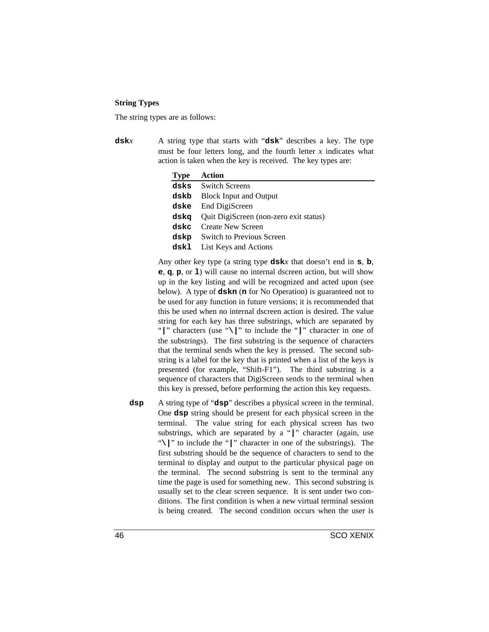#### **String Types**

The string types are as follows:

**dsk***x* A string type that starts with "**dsk**" describes a key. The type must be four letters long, and the fourth letter  $x$  indicates what action is taken when the key is received. The key types are:

| <b>Type</b> | Action                                 |
|-------------|----------------------------------------|
|             | dsks Switch Screens                    |
| dskb        | <b>Block Input and Output</b>          |
| dske        | End DigiScreen                         |
| dska        | Quit DigiScreen (non-zero exit status) |
| dskc        | Create New Screen                      |
| dskp        | <b>Switch to Previous Screen</b>       |
| dskl        | List Keys and Actions                  |
|             |                                        |

Any other key type (a string type **dsk***x* that doesn't end in **s**, **b**, **e**, **q**, **p**, or **l**) will cause no internal dscreen action, but will show up in the key listing and will be recognized and acted upon (see below). A type of **dskn** (**n** for No Operation) is guaranteed not to be used for any function in future versions; it is recommended that this be used when no internal dscreen action is desired. The value string for each key has three substrings, which are separated by "**|**" characters (use "**\|**" to include the "**|**" character in one of the substrings). The first substring is the sequence of characters that the terminal sends when the key is pressed. The second substring is a label for the key that is printed when a list of the keys is presented (for example, "Shift-F1"). The third substring is a sequence of characters that DigiScreen sends to the terminal when this key is pressed, before performing the action this key requests.

**dsp** A string type of "**dsp**" describes a physical screen in the terminal. One **dsp** string should be present for each physical screen in the terminal. The value string for each physical screen has two substrings, which are separated by a "**|**" character (again, use "**\|**" to include the "**|**" character in one of the substrings). The first substring should be the sequence of characters to send to the terminal to display and output to the particular physical page on the terminal. The second substring is sent to the terminal any time the page is used for something new. This second substring is usually set to the clear screen sequence. It is sent under two conditions. The first condition is when a new virtual terminal session is being created. The second condition occurs when the user is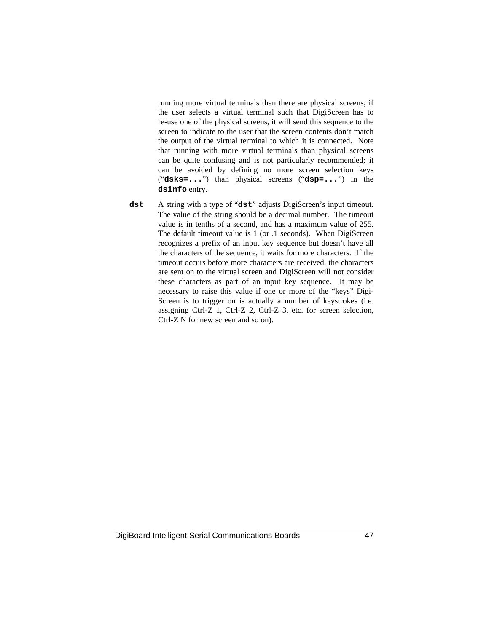running more virtual terminals than there are physical screens; if the user selects a virtual terminal such that DigiScreen has to re-use one of the physical screens, it will send this sequence to the screen to indicate to the user that the screen contents don't match the output of the virtual terminal to which it is connected. Note that running with more virtual terminals than physical screens can be quite confusing and is not particularly recommended; it can be avoided by defining no more screen selection keys ("**dsks=...**") than physical screens ("**dsp=...**") in the **dsinfo** entry.

**dst** A string with a type of "**dst**" adjusts DigiScreen's input timeout. The value of the string should be a decimal number. The timeout value is in tenths of a second, and has a maximum value of 255. The default timeout value is 1 (or .1 seconds). When DigiScreen recognizes a prefix of an input key sequence but doesn't have all the characters of the sequence, it waits for more characters. If the timeout occurs before more characters are received, the characters are sent on to the virtual screen and DigiScreen will not consider these characters as part of an input key sequence. It may be necessary to raise this value if one or more of the "keys" Digi-Screen is to trigger on is actually a number of keystrokes (i.e. assigning Ctrl-Z 1, Ctrl-Z 2, Ctrl-Z 3, etc. for screen selection, Ctrl-Z N for new screen and so on).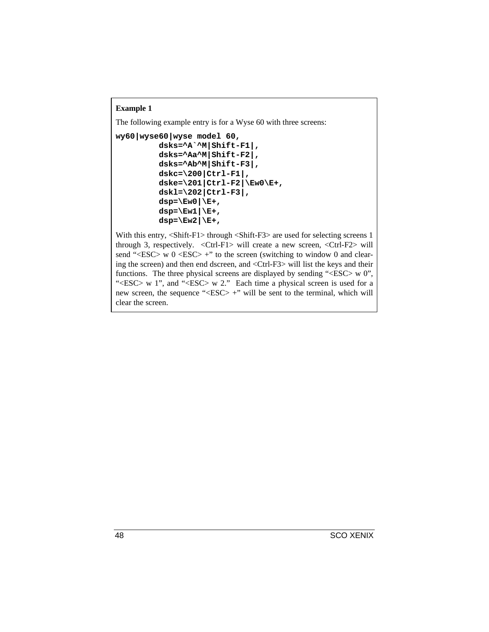### **Example 1**

The following example entry is for a Wyse 60 with three screens:

```
wy60|wyse60|wyse model 60,
          dsks=^A`^M|Shift-F1|,
           dsks=^Aa^M|Shift-F2|,
           dsks=^Ab^M|Shift-F3|,
           dskc=\200|Ctrl-F1|,
           dske=\201|Ctrl-F2|\Ew0\E+,
           dskl=\202|Ctrl-F3|,
          \text{disp}=\E{w0}|\E{+},
          dsp=\Ew1|\E+,
          dsp=\Ew2|\E+,
```
With this entry, <Shift-F1> through <Shift-F3> are used for selecting screens 1 through 3, respectively. <Ctrl-F1> will create a new screen, <Ctrl-F2> will send "<ESC> w  $0$  <ESC> +" to the screen (switching to window 0 and clearing the screen) and then end dscreen, and <Ctrl-F3> will list the keys and their functions. The three physical screens are displayed by sending "<ESC> w 0", "<ESC> w 1", and "<ESC> w 2." Each time a physical screen is used for a new screen, the sequence "<ESC> +" will be sent to the terminal, which will clear the screen.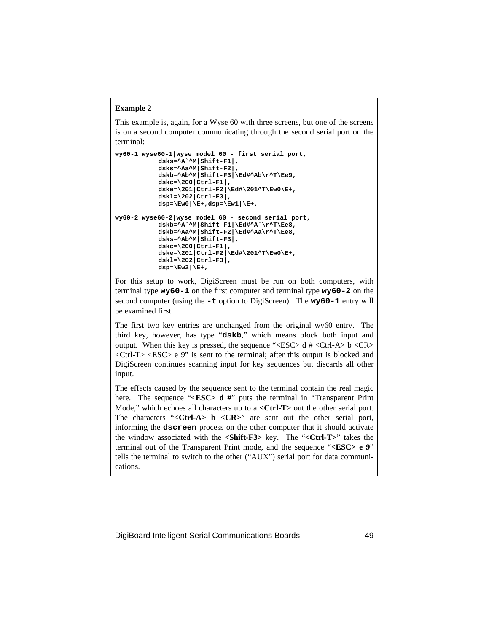### **Example 2**

This example is, again, for a Wyse 60 with three screens, but one of the screens is on a second computer communicating through the second serial port on the terminal:

```
wy60-1|wyse60-1|wyse model 60 - first serial port,
           dsks=^A`^M|Shift-F1|,
           dsks=^Aa^M|Shift-F2|,
           dskb=^Ab^M|Shift-F3|\Ed#^Ab\r^T\Ee9,
           dskc=\200|Ctrl-F1|,
           dske=\201|Ctrl-F2|\Ed#\201^T\Ew0\E+,
           dskl=\202|Ctrl-F3|,
           dsp=\Ew0|\E+,dsp=\Ew1|\E+,
wy60-2|wyse60-2|wyse model 60 - second serial port,
           dskb=^A`^M|Shift-F1|\Ed#^A`\r^T\Ee8,
           dskb=^Aa^M|Shift-F2|\Ed#^Aa\r^T\Ee8,
           dsks=^Ab^M|Shift-F3|,
           dskc=\200|Ctrl-F1|,
           dske=\201|Ctrl-F2|\Ed#\201^T\Ew0\E+,
           dskl=\202|Ctrl-F3|,
           dsp=\Ew2|\E+,
```
For this setup to work, DigiScreen must be run on both computers, with terminal type **wy60-1** on the first computer and terminal type **wy60-2** on the second computer (using the **-t** option to DigiScreen). The **wy60-1** entry will be examined first.

The first two key entries are unchanged from the original wy60 entry. The third key, however, has type "**dskb**," which means block both input and output. When this key is pressed, the sequence "<ESC> d  $#$ <Ctrl-A> b <CR> <Ctrl-T> <ESC> e 9" is sent to the terminal; after this output is blocked and DigiScreen continues scanning input for key sequences but discards all other input.

The effects caused by the sequence sent to the terminal contain the real magic here. The sequence "**<ESC> d** #" puts the terminal in "Transparent Print Mode," which echoes all characters up to a **<Ctrl-T>** out the other serial port. The characters "**<Ctrl-A> b <CR>**" are sent out the other serial port, informing the **dscreen** process on the other computer that it should activate the window associated with the **<Shift-F3>** key. The "**<Ctrl-T>**" takes the terminal out of the Transparent Print mode, and the sequence "**<ESC> e 9**" tells the terminal to switch to the other ("AUX") serial port for data communications.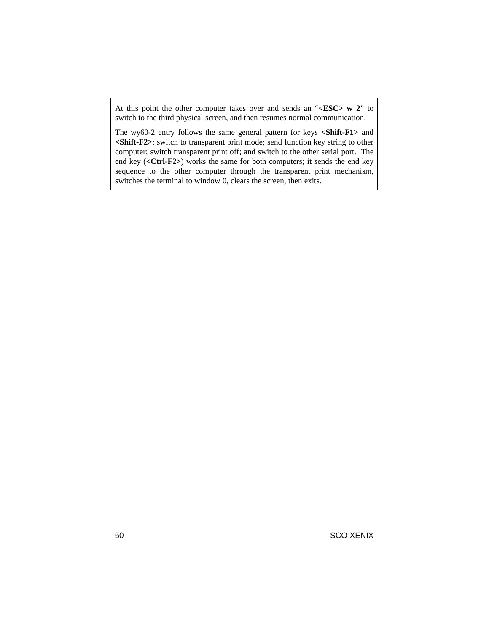At this point the other computer takes over and sends an "**<ESC> w 2**" to switch to the third physical screen, and then resumes normal communication.

The wy60-2 entry follows the same general pattern for keys **<Shift-F1>** and **<Shift-F2>**: switch to transparent print mode; send function key string to other computer; switch transparent print off; and switch to the other serial port. The end key (**<Ctrl-F2>**) works the same for both computers; it sends the end key sequence to the other computer through the transparent print mechanism, switches the terminal to window 0, clears the screen, then exits.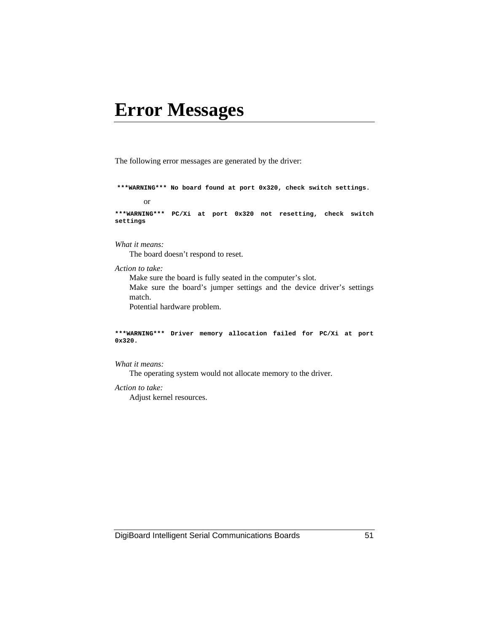# **Error Messages**

The following error messages are generated by the driver:

```
***WARNING*** No board found at port 0x320, check switch settings.
       or
***WARNING*** PC/Xi at port 0x320 not resetting, check switch
```

```
settings
```
#### *What it means:*

The board doesn't respond to reset.

*Action to take:*

Make sure the board is fully seated in the computer's slot. Make sure the board's jumper settings and the device driver's settings match.

Potential hardware problem.

```
***WARNING*** Driver memory allocation failed for PC/Xi at port
0x320.
```
*What it means:*

The operating system would not allocate memory to the driver.

*Action to take:*

Adjust kernel resources.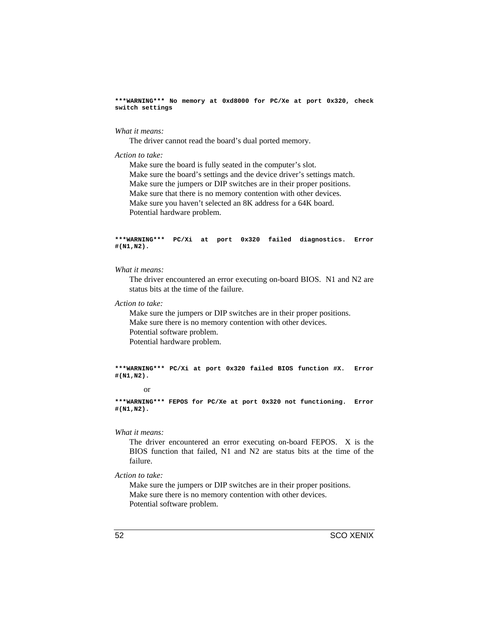**\*\*\*WARNING\*\*\* No memory at 0xd8000 for PC/Xe at port 0x320, check switch settings**

### *What it means:*

The driver cannot read the board's dual ported memory.

#### *Action to take:*

Make sure the board is fully seated in the computer's slot. Make sure the board's settings and the device driver's settings match. Make sure the jumpers or DIP switches are in their proper positions. Make sure that there is no memory contention with other devices. Make sure you haven't selected an 8K address for a 64K board. Potential hardware problem.

```
***WARNING*** PC/Xi at port 0x320 failed diagnostics. Error
#(N1,N2).
```
#### *What it means:*

The driver encountered an error executing on-board BIOS. N1 and N2 are status bits at the time of the failure.

#### *Action to take:*

Make sure the jumpers or DIP switches are in their proper positions. Make sure there is no memory contention with other devices. Potential software problem. Potential hardware problem.

**\*\*\*WARNING\*\*\* PC/Xi at port 0x320 failed BIOS function #X. Error #(N1,N2).**

or

**\*\*\*WARNING\*\*\* FEPOS for PC/Xe at port 0x320 not functioning. Error #(N1,N2).**

#### *What it means:*

The driver encountered an error executing on-board FEPOS. X is the BIOS function that failed, N1 and N2 are status bits at the time of the failure.

*Action to take:*

Make sure the jumpers or DIP switches are in their proper positions. Make sure there is no memory contention with other devices. Potential software problem.